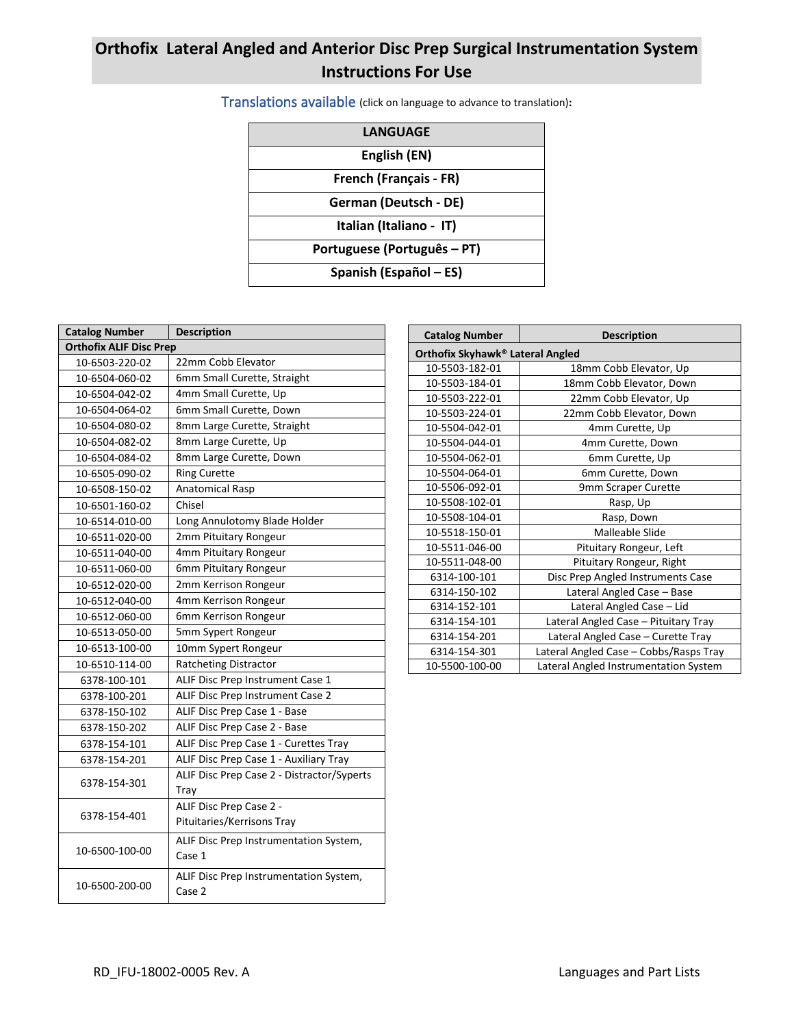# **Orthofix Lateral Angled and Anterior Disc Prep Surgical Instrumentation System Instructions For Use**

Translations available (click on language to advance to translation)**:**

| <b>LANGUAGE</b>             |
|-----------------------------|
| English (EN)                |
| French (Français - FR)      |
| German (Deutsch - DE)       |
| Italian (Italiano - IT)     |
| Portuguese (Português – PT) |
| Spanish (Español – ES)      |

| <b>Description</b>                         |  |  |  |  |
|--------------------------------------------|--|--|--|--|
| <b>Orthofix ALIF Disc Prep</b>             |  |  |  |  |
| 22mm Cobb Elevator                         |  |  |  |  |
| 6mm Small Curette, Straight                |  |  |  |  |
| 4mm Small Curette, Up                      |  |  |  |  |
| 6mm Small Curette, Down                    |  |  |  |  |
| 8mm Large Curette, Straight                |  |  |  |  |
| 8mm Large Curette, Up                      |  |  |  |  |
| 8mm Large Curette, Down                    |  |  |  |  |
| <b>Ring Curette</b>                        |  |  |  |  |
| Anatomical Rasp                            |  |  |  |  |
| Chisel                                     |  |  |  |  |
| Long Annulotomy Blade Holder               |  |  |  |  |
| 2mm Pituitary Rongeur                      |  |  |  |  |
| 4mm Pituitary Rongeur                      |  |  |  |  |
| 6mm Pituitary Rongeur                      |  |  |  |  |
| 2mm Kerrison Rongeur                       |  |  |  |  |
| 4mm Kerrison Rongeur                       |  |  |  |  |
| 6mm Kerrison Rongeur                       |  |  |  |  |
| 5mm Sypert Rongeur                         |  |  |  |  |
| 10mm Sypert Rongeur                        |  |  |  |  |
| <b>Ratcheting Distractor</b>               |  |  |  |  |
| ALIF Disc Prep Instrument Case 1           |  |  |  |  |
| ALIF Disc Prep Instrument Case 2           |  |  |  |  |
| ALIF Disc Prep Case 1 - Base               |  |  |  |  |
| ALIF Disc Prep Case 2 - Base               |  |  |  |  |
| ALIF Disc Prep Case 1 - Curettes Tray      |  |  |  |  |
| ALIF Disc Prep Case 1 - Auxiliary Tray     |  |  |  |  |
| ALIF Disc Prep Case 2 - Distractor/Syperts |  |  |  |  |
| Tray                                       |  |  |  |  |
| ALIF Disc Prep Case 2 -                    |  |  |  |  |
| Pituitaries/Kerrisons Tray                 |  |  |  |  |
| ALIF Disc Prep Instrumentation System,     |  |  |  |  |
| Case 1                                     |  |  |  |  |
| ALIF Disc Prep Instrumentation System,     |  |  |  |  |
| Case 2                                     |  |  |  |  |
|                                            |  |  |  |  |

| <b>Catalog Number</b>            | <b>Description</b>                     |  |  |  |
|----------------------------------|----------------------------------------|--|--|--|
| Orthofix Skyhawk® Lateral Angled |                                        |  |  |  |
| 10-5503-182-01                   | 18mm Cobb Elevator, Up                 |  |  |  |
| 10-5503-184-01                   | 18mm Cobb Elevator, Down               |  |  |  |
| 10-5503-222-01                   | 22mm Cobb Elevator, Up                 |  |  |  |
| 10-5503-224-01                   | 22mm Cobb Elevator, Down               |  |  |  |
| 10-5504-042-01                   | 4mm Curette, Up                        |  |  |  |
| 10-5504-044-01                   | 4mm Curette, Down                      |  |  |  |
| 10-5504-062-01                   | 6mm Curette, Up                        |  |  |  |
| 10-5504-064-01                   | 6mm Curette, Down                      |  |  |  |
| 10-5506-092-01                   | 9mm Scraper Curette                    |  |  |  |
| 10-5508-102-01                   | Rasp, Up                               |  |  |  |
| 10-5508-104-01                   | Rasp, Down                             |  |  |  |
| 10-5518-150-01                   | Malleable Slide                        |  |  |  |
| 10-5511-046-00                   | Pituitary Rongeur, Left                |  |  |  |
| 10-5511-048-00                   | Pituitary Rongeur, Right               |  |  |  |
| 6314-100-101                     | Disc Prep Angled Instruments Case      |  |  |  |
| 6314-150-102                     | Lateral Angled Case - Base             |  |  |  |
| 6314-152-101                     | Lateral Angled Case - Lid              |  |  |  |
| 6314-154-101                     | Lateral Angled Case - Pituitary Tray   |  |  |  |
| 6314-154-201                     | Lateral Angled Case - Curette Tray     |  |  |  |
| 6314-154-301                     | Lateral Angled Case - Cobbs/Rasps Tray |  |  |  |
| 10-5500-100-00                   | Lateral Angled Instrumentation System  |  |  |  |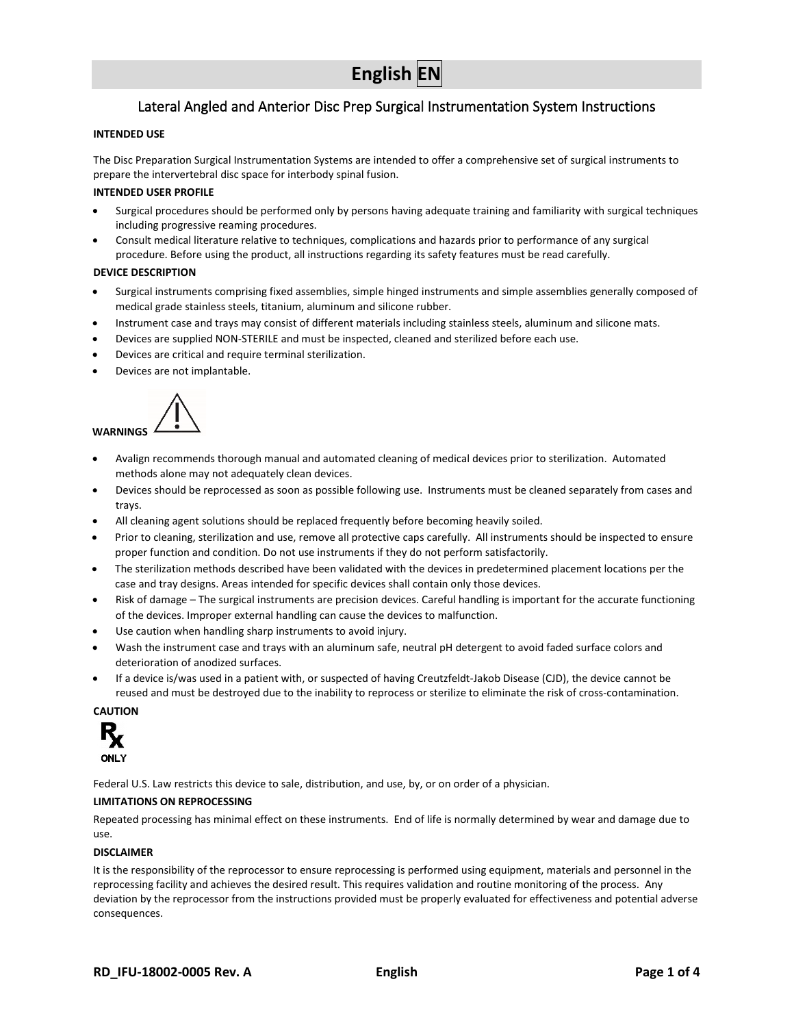# **English EN**

# Lateral Angled and Anterior Disc Prep Surgical Instrumentation System Instructions

#### <span id="page-1-0"></span>**INTENDED USE**

The Disc Preparation Surgical Instrumentation Systems are intended to offer a comprehensive set of surgical instruments to prepare the intervertebral disc space for interbody spinal fusion.

#### **INTENDED USER PROFILE**

- Surgical procedures should be performed only by persons having adequate training and familiarity with surgical techniques including progressive reaming procedures.
- Consult medical literature relative to techniques, complications and hazards prior to performance of any surgical procedure. Before using the product, all instructions regarding its safety features must be read carefully.

#### **DEVICE DESCRIPTION**

- Surgical instruments comprising fixed assemblies, simple hinged instruments and simple assemblies generally composed of medical grade stainless steels, titanium, aluminum and silicone rubber.
- Instrument case and trays may consist of different materials including stainless steels, aluminum and silicone mats.
- Devices are supplied NON-STERILE and must be inspected, cleaned and sterilized before each use.
- Devices are critical and require terminal sterilization.
- Devices are not implantable.



- Avalign recommends thorough manual and automated cleaning of medical devices prior to sterilization. Automated methods alone may not adequately clean devices.
- Devices should be reprocessed as soon as possible following use. Instruments must be cleaned separately from cases and trays.
- All cleaning agent solutions should be replaced frequently before becoming heavily soiled.
- Prior to cleaning, sterilization and use, remove all protective caps carefully. All instruments should be inspected to ensure proper function and condition. Do not use instruments if they do not perform satisfactorily.
- The sterilization methods described have been validated with the devices in predetermined placement locations per the case and tray designs. Areas intended for specific devices shall contain only those devices.
- Risk of damage The surgical instruments are precision devices. Careful handling is important for the accurate functioning of the devices. Improper external handling can cause the devices to malfunction.
- Use caution when handling sharp instruments to avoid injury.
- Wash the instrument case and trays with an aluminum safe, neutral pH detergent to avoid faded surface colors and deterioration of anodized surfaces.
- If a device is/was used in a patient with, or suspected of having Creutzfeldt-Jakob Disease (CJD), the device cannot be reused and must be destroyed due to the inability to reprocess or sterilize to eliminate the risk of cross-contamination.

**CAUTION**



Federal U.S. Law restricts this device to sale, distribution, and use, by, or on order of a physician.

#### **LIMITATIONS ON REPROCESSING**

Repeated processing has minimal effect on these instruments. End of life is normally determined by wear and damage due to use.

#### **DISCLAIMER**

It is the responsibility of the reprocessor to ensure reprocessing is performed using equipment, materials and personnel in the reprocessing facility and achieves the desired result. This requires validation and routine monitoring of the process. Any deviation by the reprocessor from the instructions provided must be properly evaluated for effectiveness and potential adverse consequences.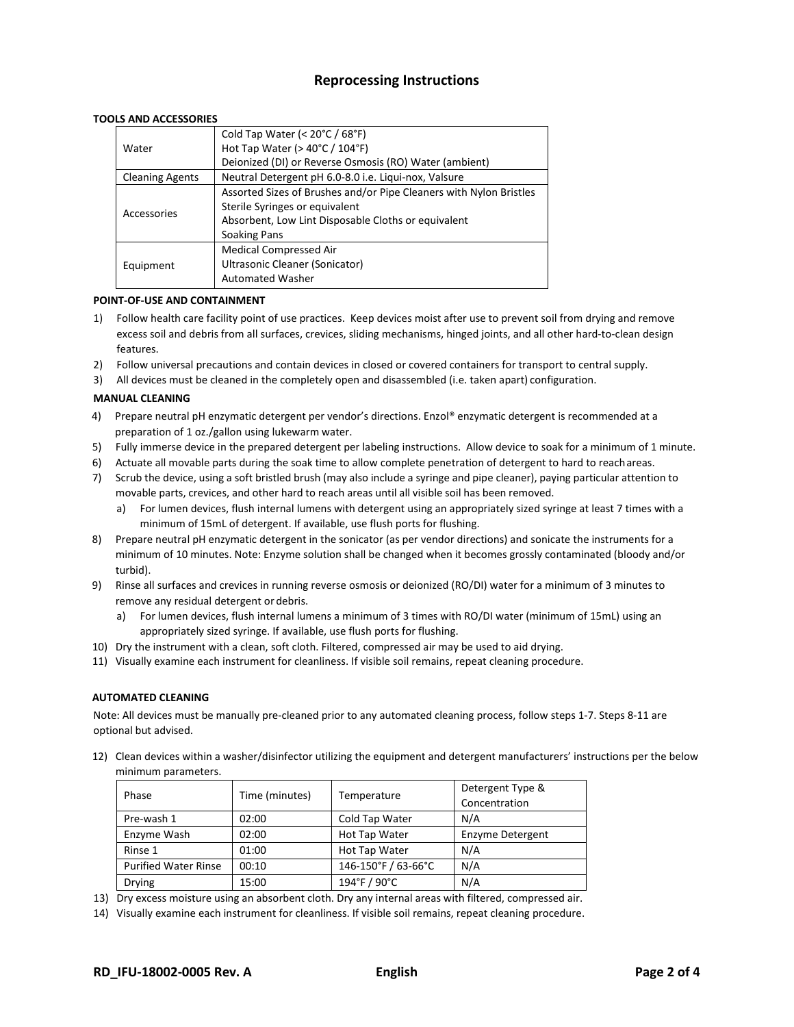# **Reprocessing Instructions**

#### **TOOLS AND ACCESSORIES**

|                        | Cold Tap Water (< 20°C / 68°F)                                     |
|------------------------|--------------------------------------------------------------------|
| Water                  | Hot Tap Water ( $>$ 40 $^{\circ}$ C / 104 $^{\circ}$ F)            |
|                        | Deionized (DI) or Reverse Osmosis (RO) Water (ambient)             |
| <b>Cleaning Agents</b> | Neutral Detergent pH 6.0-8.0 i.e. Liqui-nox, Valsure               |
|                        | Assorted Sizes of Brushes and/or Pipe Cleaners with Nylon Bristles |
|                        | Sterile Syringes or equivalent                                     |
| Accessories            | Absorbent, Low Lint Disposable Cloths or equivalent                |
|                        | Soaking Pans                                                       |
|                        | <b>Medical Compressed Air</b>                                      |
| Equipment              | Ultrasonic Cleaner (Sonicator)                                     |
|                        | <b>Automated Washer</b>                                            |

#### **POINT-OF-USE AND CONTAINMENT**

- 1) Follow health care facility point of use practices. Keep devices moist after use to prevent soil from drying and remove excess soil and debris from all surfaces, crevices, sliding mechanisms, hinged joints, and all other hard-to-clean design features.
- 2) Follow universal precautions and contain devices in closed or covered containers for transport to central supply.
- 3) All devices must be cleaned in the completely open and disassembled (i.e. taken apart) configuration.

#### **MANUAL CLEANING**

- 4) Prepare neutral pH enzymatic detergent per vendor's directions. Enzol® enzymatic detergent is recommended at a preparation of 1 oz./gallon using lukewarm water.
- 5) Fully immerse device in the prepared detergent per labeling instructions. Allow device to soak for a minimum of 1 minute.
- 6) Actuate all movable parts during the soak time to allow complete penetration of detergent to hard to reachareas.
- 7) Scrub the device, using a soft bristled brush (may also include a syringe and pipe cleaner), paying particular attention to movable parts, crevices, and other hard to reach areas until all visible soil has been removed.
	- a) For lumen devices, flush internal lumens with detergent using an appropriately sized syringe at least 7 times with a minimum of 15mL of detergent. If available, use flush ports for flushing.
- 8) Prepare neutral pH enzymatic detergent in the sonicator (as per vendor directions) and sonicate the instruments for a minimum of 10 minutes. Note: Enzyme solution shall be changed when it becomes grossly contaminated (bloody and/or turbid).
- 9) Rinse all surfaces and crevices in running reverse osmosis or deionized (RO/DI) water for a minimum of 3 minutes to remove any residual detergent or debris.
	- a) For lumen devices, flush internal lumens a minimum of 3 times with RO/DI water (minimum of 15mL) using an appropriately sized syringe. If available, use flush ports for flushing.
- 10) Dry the instrument with a clean, soft cloth. Filtered, compressed air may be used to aid drying.
- 11) Visually examine each instrument for cleanliness. If visible soil remains, repeat cleaning procedure.

#### **AUTOMATED CLEANING**

Note: All devices must be manually pre-cleaned prior to any automated cleaning process, follow steps 1-7. Steps 8-11 are optional but advised.

12) Clean devices within a washer/disinfector utilizing the equipment and detergent manufacturers' instructions per the below minimum parameters.

| Phase                       | Time (minutes) | Temperature         | Detergent Type &<br>Concentration |
|-----------------------------|----------------|---------------------|-----------------------------------|
| Pre-wash 1                  | 02:00          | Cold Tap Water      | N/A                               |
| Enzyme Wash                 | 02:00          | Hot Tap Water       | Enzyme Detergent                  |
| Rinse 1                     | 01:00          | Hot Tap Water       | N/A                               |
| <b>Purified Water Rinse</b> | 00:10          | 146-150°F / 63-66°C | N/A                               |
| <b>Drying</b>               | 15:00          | 194°F / 90°C        | N/A                               |

13) Dry excess moisture using an absorbent cloth. Dry any internal areas with filtered, compressed air.

14) Visually examine each instrument for cleanliness. If visible soil remains, repeat cleaning procedure.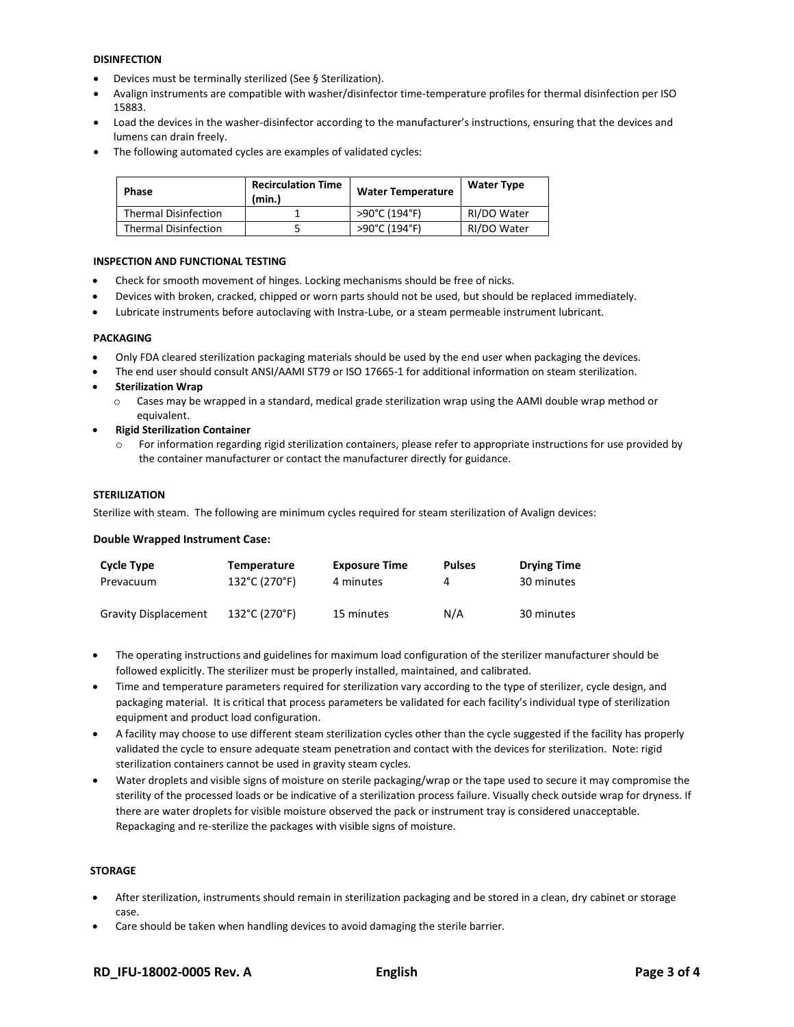#### **DISINFECTION**

- Devices must be terminally sterilized (See § Sterilization).
- Avalign instruments are compatible with washer/disinfector time-temperature profiles for thermal disinfection per ISO 15883.
- Load the devices in the washer-disinfector according to the manufacturer's instructions, ensuring that the devices and lumens can drain freely.
- The following automated cycles are examples of validated cycles:

| <b>Phase</b>                | <b>Recirculation Time</b><br>(min.) | <b>Water Temperature</b> | <b>Water Type</b> |
|-----------------------------|-------------------------------------|--------------------------|-------------------|
| <b>Thermal Disinfection</b> |                                     | >90°C (194°F)            | RI/DO Water       |
| <b>Thermal Disinfection</b> |                                     | >90°C (194°F)            | RI/DO Water       |

#### **INSPECTION AND FUNCTIONAL TESTING**

- Check for smooth movement of hinges. Locking mechanisms should be free of nicks.
- Devices with broken, cracked, chipped or worn parts should not be used, but should be replaced immediately.
- Lubricate instruments before autoclaving with Instra-Lube, or a steam permeable instrument lubricant.

#### **PACKAGING**

- Only FDA cleared sterilization packaging materials should be used by the end user when packaging the devices.
- The end user should consult ANSI/AAMI ST79 or ISO 17665-1 for additional information on steam sterilization.
- **Sterilization Wrap**
	- o Cases may be wrapped in a standard, medical grade sterilization wrap using the AAMI double wrap method or equivalent.
- **Rigid Sterilization Container**
	- For information regarding rigid sterilization containers, please refer to appropriate instructions for use provided by the container manufacturer or contact the manufacturer directly for guidance.

#### **STERILIZATION**

Sterilize with steam. The following are minimum cycles required for steam sterilization of Avalign devices:

#### **Double Wrapped Instrument Case:**

| <b>Cycle Type</b>           | <b>Temperature</b> | <b>Exposure Time</b> | <b>Pulses</b> | <b>Drying Time</b> |
|-----------------------------|--------------------|----------------------|---------------|--------------------|
| Prevacuum                   | 132°C (270°F)      | 4 minutes            |               | 30 minutes         |
| <b>Gravity Displacement</b> | 132°C (270°F)      | 15 minutes           | N/A           | 30 minutes         |

- The operating instructions and guidelines for maximum load configuration of the sterilizer manufacturer should be followed explicitly. The sterilizer must be properly installed, maintained, and calibrated.
- Time and temperature parameters required for sterilization vary according to the type of sterilizer, cycle design, and packaging material. It is critical that process parameters be validated for each facility's individual type of sterilization equipment and product load configuration.
- A facility may choose to use different steam sterilization cycles other than the cycle suggested if the facility has properly validated the cycle to ensure adequate steam penetration and contact with the devices for sterilization. Note: rigid sterilization containers cannot be used in gravity steam cycles.
- Water droplets and visible signs of moisture on sterile packaging/wrap or the tape used to secure it may compromise the sterility of the processed loads or be indicative of a sterilization process failure. Visually check outside wrap for dryness. If there are water droplets for visible moisture observed the pack or instrument tray is considered unacceptable. Repackaging and re-sterilize the packages with visible signs of moisture.

#### **STORAGE**

- After sterilization, instruments should remain in sterilization packaging and be stored in a clean, dry cabinet or storage case.
- Care should be taken when handling devices to avoid damaging the sterile barrier.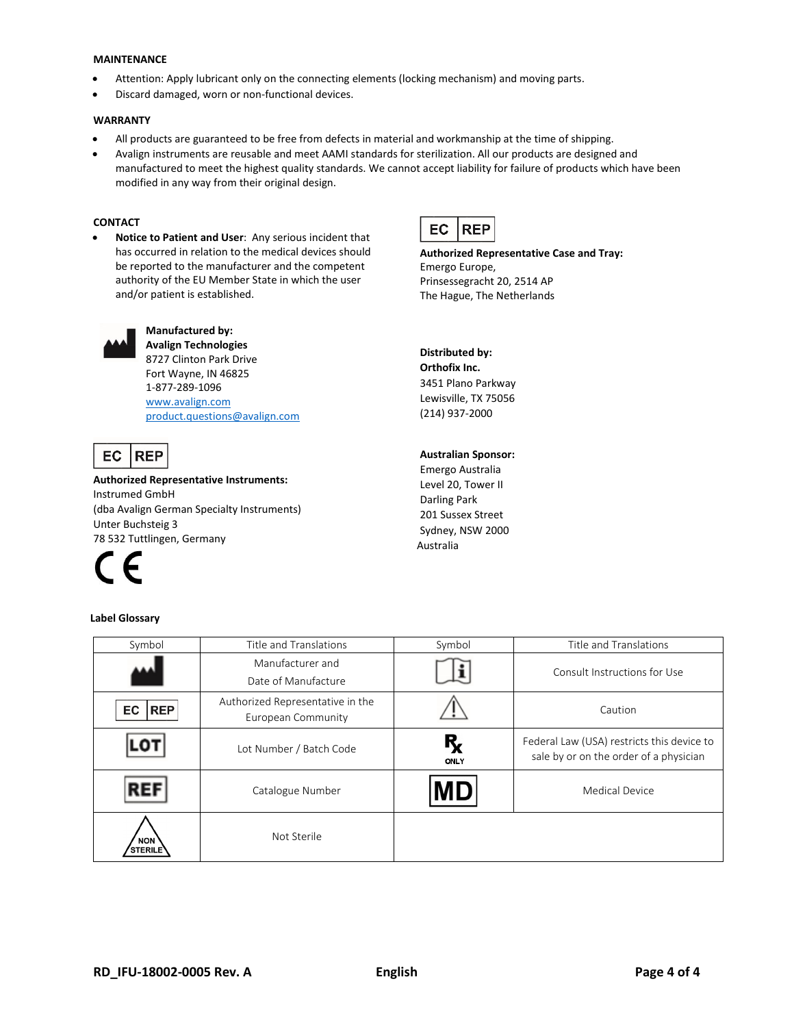#### **MAINTENANCE**

- Attention: Apply lubricant only on the connecting elements (locking mechanism) and moving parts.
- Discard damaged, worn or non-functional devices.

#### **WARRANTY**

- All products are guaranteed to be free from defects in material and workmanship at the time of shipping.
- Avalign instruments are reusable and meet AAMI standards for sterilization. All our products are designed and manufactured to meet the highest quality standards. We cannot accept liability for failure of products which have been modified in any way from their original design.

#### **CONTACT**

• **Notice to Patient and User**: Any serious incident that has occurred in relation to the medical devices should be reported to the manufacturer and the competent authority of the EU Member State in which the user and/or patient is established.



**Authorized Representative Case and Tray:** Emergo Europe, Prinsessegracht 20, 2514 AP The Hague, The Netherlands



### **Manufactured by: Avalign Technologies** 8727 Clinton Park Drive

Fort Wayne, IN 46825 1-877-289-1096 [www.avalign.com](http://www.avalign.com/) [product.questions@avalign.com](mailto:product.questions@avalign.com)

#### **REP EC**

**Authorized Representative Instruments:** Instrumed GmbH (dba Avalign German Specialty Instruments) Unter Buchsteig 3 78 532 Tuttlingen, Germany



#### **Label Glossary**

## **Distributed by: Orthofix Inc.** 3451 Plano Parkway Lewisville, TX 75056 (214) 937-2000

#### **Australian Sponsor:**

Emergo Australia Level 20, Tower II Darling Park 201 Sussex Street Sydney, NSW 2000 Australia

| Symbol                       | Title and Translations                                 | Symbol     | Title and Translations                                                               |
|------------------------------|--------------------------------------------------------|------------|--------------------------------------------------------------------------------------|
|                              | Manufacturer and<br>Date of Manufacture                |            | Consult Instructions for Use                                                         |
| <b>REP</b><br>EC             | Authorized Representative in the<br>European Community |            | Caution                                                                              |
| ΓO.                          | Lot Number / Batch Code                                | R,<br>ONLY | Federal Law (USA) restricts this device to<br>sale by or on the order of a physician |
| <b>REF</b>                   | Catalogue Number                                       | <b>MD</b>  | <b>Medical Device</b>                                                                |
| <b>NON</b><br><b>STERILE</b> | Not Sterile                                            |            |                                                                                      |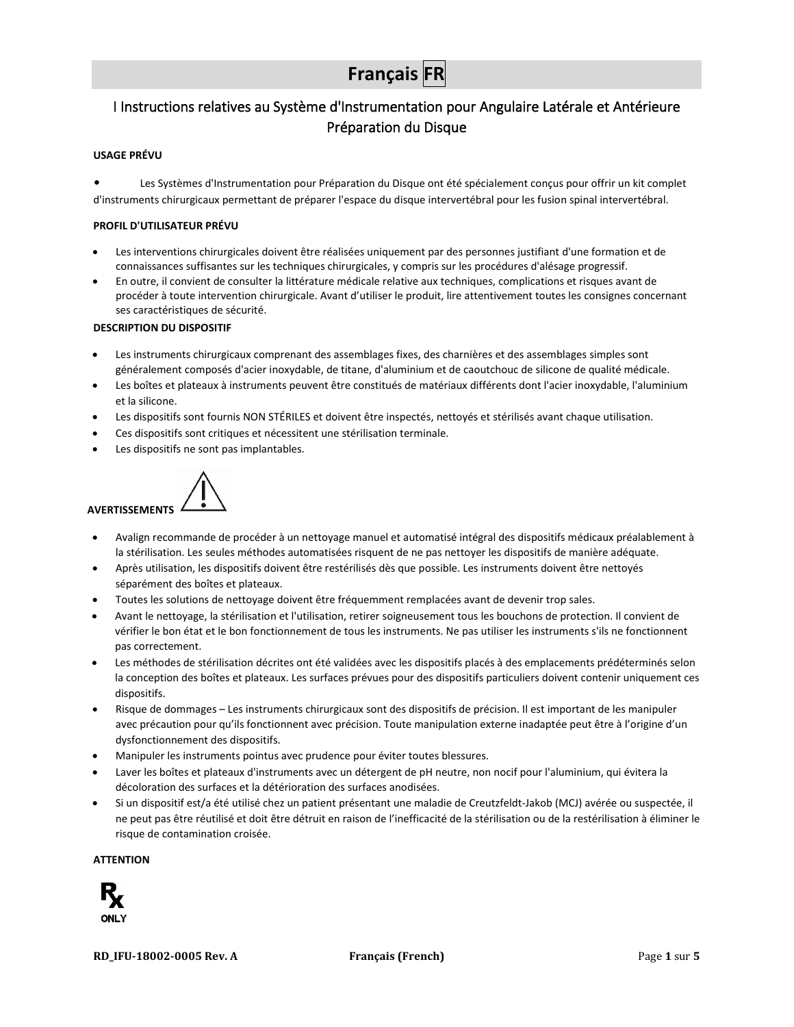# **Français FR**

# <span id="page-5-0"></span>I Instructions relatives au Système d'Instrumentation pour Angulaire Latérale et Antérieure Préparation du Disque

#### **USAGE PRÉVU**

• Les Systèmes d'Instrumentation pour Préparation du Disque ont été spécialement conçus pour offrir un kit complet d'instruments chirurgicaux permettant de préparer l'espace du disque intervertébral pour les fusion spinal intervertébral.

#### **PROFIL D'UTILISATEUR PRÉVU**

- Les interventions chirurgicales doivent être réalisées uniquement par des personnes justifiant d'une formation et de connaissances suffisantes sur les techniques chirurgicales, y compris sur les procédures d'alésage progressif.
- En outre, il convient de consulter la littérature médicale relative aux techniques, complications et risques avant de procéder à toute intervention chirurgicale. Avant d'utiliser le produit, lire attentivement toutes les consignes concernant ses caractéristiques de sécurité.

#### **DESCRIPTION DU DISPOSITIF**

- Les instruments chirurgicaux comprenant des assemblages fixes, des charnières et des assemblages simples sont généralement composés d'acier inoxydable, de titane, d'aluminium et de caoutchouc de silicone de qualité médicale.
- Les boîtes et plateaux à instruments peuvent être constitués de matériaux différents dont l'acier inoxydable, l'aluminium et la silicone.
- Les dispositifs sont fournis NON STÉRILES et doivent être inspectés, nettoyés et stérilisés avant chaque utilisation.
- Ces dispositifs sont critiques et nécessitent une stérilisation terminale.
- Les dispositifs ne sont pas implantables.



- Avalign recommande de procéder à un nettoyage manuel et automatisé intégral des dispositifs médicaux préalablement à la stérilisation. Les seules méthodes automatisées risquent de ne pas nettoyer les dispositifs de manière adéquate.
- Après utilisation, les dispositifs doivent être restérilisés dès que possible. Les instruments doivent être nettoyés séparément des boîtes et plateaux.
- Toutes les solutions de nettoyage doivent être fréquemment remplacées avant de devenir trop sales.
- Avant le nettoyage, la stérilisation et l'utilisation, retirer soigneusement tous les bouchons de protection. Il convient de vérifier le bon état et le bon fonctionnement de tous les instruments. Ne pas utiliser les instruments s'ils ne fonctionnent pas correctement.
- Les méthodes de stérilisation décrites ont été validées avec les dispositifs placés à des emplacements prédéterminés selon la conception des boîtes et plateaux. Les surfaces prévues pour des dispositifs particuliers doivent contenir uniquement ces dispositifs.
- Risque de dommages Les instruments chirurgicaux sont des dispositifs de précision. Il est important de les manipuler avec précaution pour qu'ils fonctionnent avec précision. Toute manipulation externe inadaptée peut être à l'origine d'un dysfonctionnement des dispositifs.
- Manipuler les instruments pointus avec prudence pour éviter toutes blessures.
- Laver les boîtes et plateaux d'instruments avec un détergent de pH neutre, non nocif pour l'aluminium, qui évitera la décoloration des surfaces et la détérioration des surfaces anodisées.
- Si un dispositif est/a été utilisé chez un patient présentant une maladie de Creutzfeldt-Jakob (MCJ) avérée ou suspectée, il ne peut pas être réutilisé et doit être détruit en raison de l'inefficacité de la stérilisation ou de la restérilisation à éliminer le risque de contamination croisée.

#### **ATTENTION**

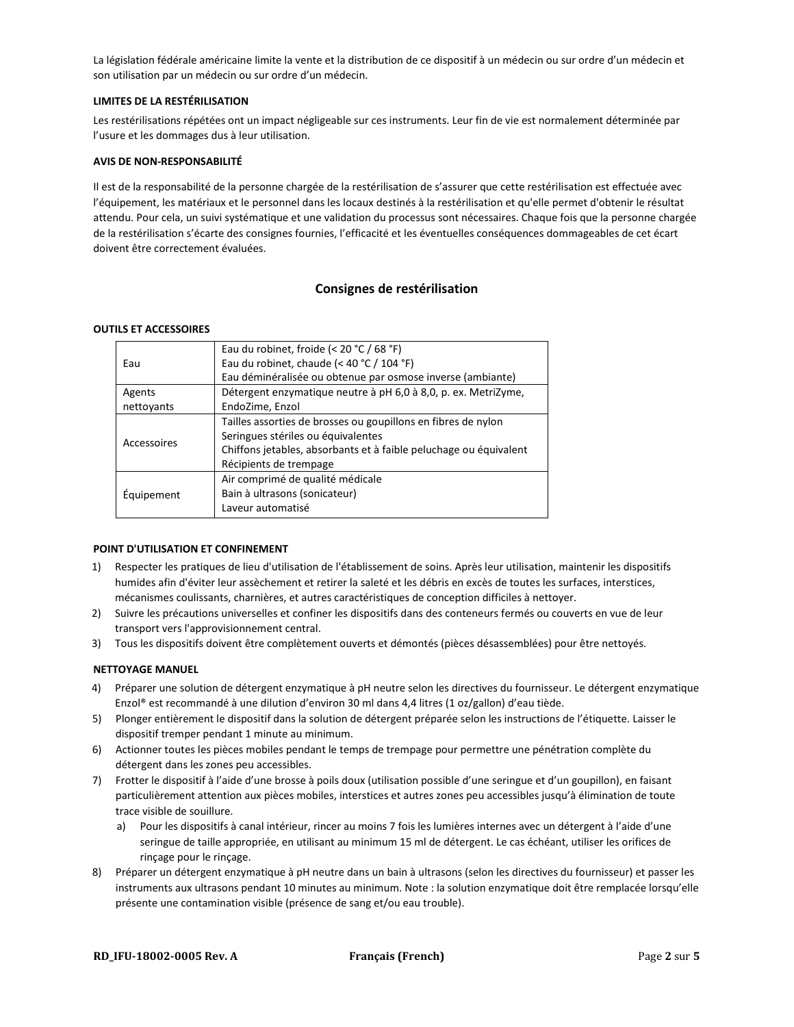La législation fédérale américaine limite la vente et la distribution de ce dispositif à un médecin ou sur ordre d'un médecin et son utilisation par un médecin ou sur ordre d'un médecin.

#### **LIMITES DE LA RESTÉRILISATION**

Les restérilisations répétées ont un impact négligeable sur ces instruments. Leur fin de vie est normalement déterminée par l'usure et les dommages dus à leur utilisation.

#### **AVIS DE NON-RESPONSABILITÉ**

Il est de la responsabilité de la personne chargée de la restérilisation de s'assurer que cette restérilisation est effectuée avec l'équipement, les matériaux et le personnel dans les locaux destinés à la restérilisation et qu'elle permet d'obtenir le résultat attendu. Pour cela, un suivi systématique et une validation du processus sont nécessaires. Chaque fois que la personne chargée de la restérilisation s'écarte des consignes fournies, l'efficacité et les éventuelles conséquences dommageables de cet écart doivent être correctement évaluées.

#### **Consignes de restérilisation**

#### **OUTILS ET ACCESSOIRES**

|             | Eau du robinet, froide (< 20 °C / 68 °F)                          |  |  |
|-------------|-------------------------------------------------------------------|--|--|
| Eau         | Eau du robinet, chaude (< 40 °C / 104 °F)                         |  |  |
|             | Eau déminéralisée ou obtenue par osmose inverse (ambiante)        |  |  |
| Agents      | Détergent enzymatique neutre à pH 6,0 à 8,0, p. ex. MetriZyme,    |  |  |
| nettoyants  | EndoZime, Enzol                                                   |  |  |
|             | Tailles assorties de brosses ou goupillons en fibres de nylon     |  |  |
|             | Seringues stériles ou équivalentes                                |  |  |
| Accessoires | Chiffons jetables, absorbants et à faible peluchage ou équivalent |  |  |
|             | Récipients de trempage                                            |  |  |
|             | Air comprimé de qualité médicale                                  |  |  |
| Equipement  | Bain à ultrasons (sonicateur)                                     |  |  |
|             | Laveur automatisé                                                 |  |  |
|             |                                                                   |  |  |

#### **POINT D'UTILISATION ET CONFINEMENT**

- 1) Respecter les pratiques de lieu d'utilisation de l'établissement de soins. Après leur utilisation, maintenir les dispositifs humides afin d'éviter leur assèchement et retirer la saleté et les débris en excès de toutes les surfaces, interstices, mécanismes coulissants, charnières, et autres caractéristiques de conception difficiles à nettoyer.
- 2) Suivre les précautions universelles et confiner les dispositifs dans des conteneurs fermés ou couverts en vue de leur transport vers l'approvisionnement central.
- 3) Tous les dispositifs doivent être complètement ouverts et démontés (pièces désassemblées) pour être nettoyés.

#### **NETTOYAGE MANUEL**

- 4) Préparer une solution de détergent enzymatique à pH neutre selon les directives du fournisseur. Le détergent enzymatique Enzol® est recommandé à une dilution d'environ 30 ml dans 4,4 litres (1 oz/gallon) d'eau tiède.
- 5) Plonger entièrement le dispositif dans la solution de détergent préparée selon les instructions de l'étiquette. Laisser le dispositif tremper pendant 1 minute au minimum.
- 6) Actionner toutes les pièces mobiles pendant le temps de trempage pour permettre une pénétration complète du détergent dans les zones peu accessibles.
- 7) Frotter le dispositif à l'aide d'une brosse à poils doux (utilisation possible d'une seringue et d'un goupillon), en faisant particulièrement attention aux pièces mobiles, interstices et autres zones peu accessibles jusqu'à élimination de toute trace visible de souillure.
	- a) Pour les dispositifs à canal intérieur, rincer au moins 7 fois les lumières internes avec un détergent à l'aide d'une seringue de taille appropriée, en utilisant au minimum 15 ml de détergent. Le cas échéant, utiliser les orifices de rinçage pour le rinçage.
- 8) Préparer un détergent enzymatique à pH neutre dans un bain à ultrasons (selon les directives du fournisseur) et passer les instruments aux ultrasons pendant 10 minutes au minimum. Note : la solution enzymatique doit être remplacée lorsqu'elle présente une contamination visible (présence de sang et/ou eau trouble).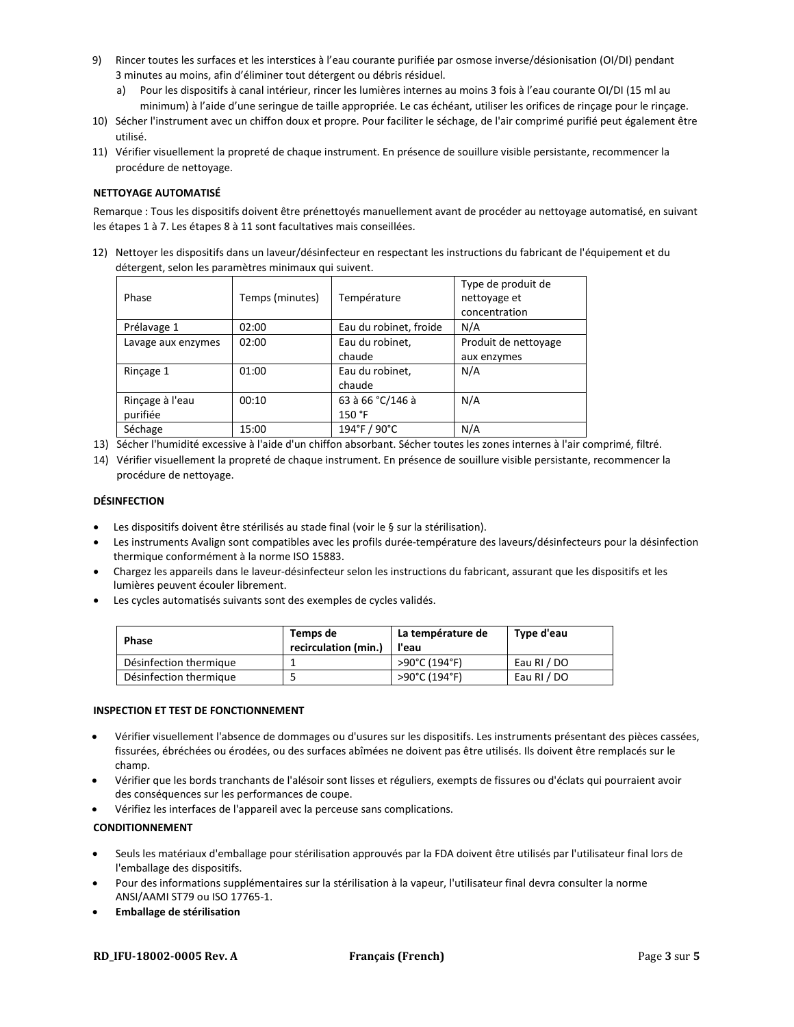- 9) Rincer toutes les surfaces et les interstices à l'eau courante purifiée par osmose inverse/désionisation (OI/DI) pendant 3 minutes au moins, afin d'éliminer tout détergent ou débris résiduel.
	- a) Pour les dispositifs à canal intérieur, rincer les lumières internes au moins 3 fois à l'eau courante OI/DI (15 ml au minimum) à l'aide d'une seringue de taille appropriée. Le cas échéant, utiliser les orifices de rinçage pour le rinçage.
- 10) Sécher l'instrument avec un chiffon doux et propre. Pour faciliter le séchage, de l'air comprimé purifié peut également être utilisé.
- 11) Vérifier visuellement la propreté de chaque instrument. En présence de souillure visible persistante, recommencer la procédure de nettoyage.

#### **NETTOYAGE AUTOMATISÉ**

Remarque : Tous les dispositifs doivent être prénettoyés manuellement avant de procéder au nettoyage automatisé, en suivant les étapes 1 à 7. Les étapes 8 à 11 sont facultatives mais conseillées.

12) Nettoyer les dispositifs dans un laveur/désinfecteur en respectant les instructions du fabricant de l'équipement et du détergent, selon les paramètres minimaux qui suivent.

| Phase              | Temps (minutes) | Température            | Type de produit de<br>nettoyage et<br>concentration |
|--------------------|-----------------|------------------------|-----------------------------------------------------|
| Prélavage 1        | 02:00           | Eau du robinet, froide | N/A                                                 |
| Lavage aux enzymes | 02:00           | Eau du robinet,        | Produit de nettoyage                                |
|                    |                 | chaude                 | aux enzymes                                         |
| Rinçage 1          | 01:00           | Eau du robinet,        | N/A                                                 |
|                    |                 | chaude                 |                                                     |
| Rinçage à l'eau    | 00:10           | 63 à 66 °C/146 à       | N/A                                                 |
| purifiée           |                 | 150 °F                 |                                                     |
| Séchage            | 15:00           | 194°F / 90°C           | N/A                                                 |

- 13) Sécher l'humidité excessive à l'aide d'un chiffon absorbant. Sécher toutes les zones internes à l'air comprimé, filtré.
- 14) Vérifier visuellement la propreté de chaque instrument. En présence de souillure visible persistante, recommencer la procédure de nettoyage.

#### **DÉSINFECTION**

- Les dispositifs doivent être stérilisés au stade final (voir le § sur la stérilisation).
- Les instruments Avalign sont compatibles avec les profils durée-température des laveurs/désinfecteurs pour la désinfection thermique conformément à la norme ISO 15883.
- Chargez les appareils dans le laveur-désinfecteur selon les instructions du fabricant, assurant que les dispositifs et les lumières peuvent écouler librement.
- Les cycles automatisés suivants sont des exemples de cycles validés.

| <b>Phase</b>           | Temps de<br>recirculation (min.) | La température de<br>l'eau | Type d'eau  |
|------------------------|----------------------------------|----------------------------|-------------|
| Désinfection thermique |                                  | >90°C (194°F)              | Eau RI / DO |
| Désinfection thermique |                                  | >90°C (194°F)              | Eau RI / DO |

#### **INSPECTION ET TEST DE FONCTIONNEMENT**

- Vérifier visuellement l'absence de dommages ou d'usures sur les dispositifs. Les instruments présentant des pièces cassées, fissurées, ébréchées ou érodées, ou des surfaces abîmées ne doivent pas être utilisés. Ils doivent être remplacés sur le champ.
- Vérifier que les bords tranchants de l'alésoir sont lisses et réguliers, exempts de fissures ou d'éclats qui pourraient avoir des conséquences sur les performances de coupe.
- Vérifiez les interfaces de l'appareil avec la perceuse sans complications.

#### **CONDITIONNEMENT**

- Seuls les matériaux d'emballage pour stérilisation approuvés par la FDA doivent être utilisés par l'utilisateur final lors de l'emballage des dispositifs.
- Pour des informations supplémentaires sur la stérilisation à la vapeur, l'utilisateur final devra consulter la norme ANSI/AAMI ST79 ou ISO 17765-1.
- **Emballage de stérilisation**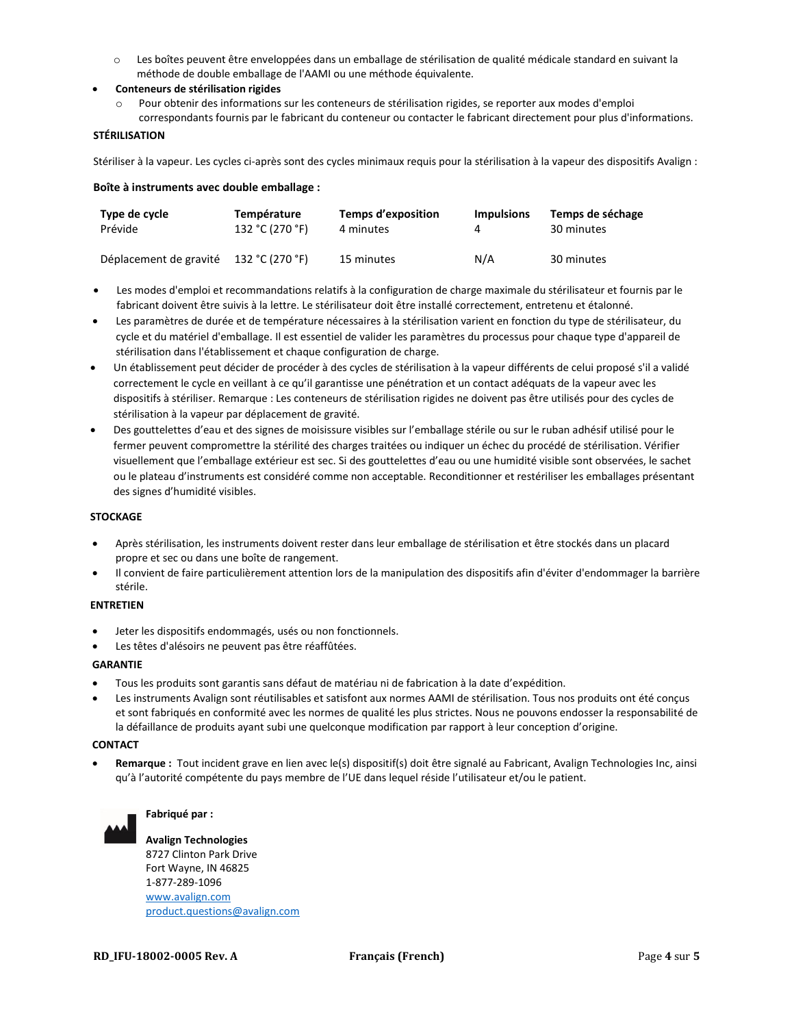- o Les boîtes peuvent être enveloppées dans un emballage de stérilisation de qualité médicale standard en suivant la méthode de double emballage de l'AAMI ou une méthode équivalente.
- **Conteneurs de stérilisation rigides**
	- Pour obtenir des informations sur les conteneurs de stérilisation rigides, se reporter aux modes d'emploi correspondants fournis par le fabricant du conteneur ou contacter le fabricant directement pour plus d'informations.

#### **STÉRILISATION**

Stériliser à la vapeur. Les cycles ci-après sont des cycles minimaux requis pour la stérilisation à la vapeur des dispositifs Avalign :

|  | Boîte à instruments avec double emballage : |  |  |
|--|---------------------------------------------|--|--|
|--|---------------------------------------------|--|--|

| Type de cycle          | Température     | Temps d'exposition | <b>Impulsions</b> | Temps de séchage |
|------------------------|-----------------|--------------------|-------------------|------------------|
| Prévide                | 132 °C (270 °F) | 4 minutes          |                   | 30 minutes       |
| Déplacement de gravité | 132 °C (270 °F) | 15 minutes         | N/A               | 30 minutes       |

- Les modes d'emploi et recommandations relatifs à la configuration de charge maximale du stérilisateur et fournis par le fabricant doivent être suivis à la lettre. Le stérilisateur doit être installé correctement, entretenu et étalonné.
- Les paramètres de durée et de température nécessaires à la stérilisation varient en fonction du type de stérilisateur, du cycle et du matériel d'emballage. Il est essentiel de valider les paramètres du processus pour chaque type d'appareil de stérilisation dans l'établissement et chaque configuration de charge.
- Un établissement peut décider de procéder à des cycles de stérilisation à la vapeur différents de celui proposé s'il a validé correctement le cycle en veillant à ce qu'il garantisse une pénétration et un contact adéquats de la vapeur avec les dispositifs à stériliser. Remarque : Les conteneurs de stérilisation rigides ne doivent pas être utilisés pour des cycles de stérilisation à la vapeur par déplacement de gravité.
- Des gouttelettes d'eau et des signes de moisissure visibles sur l'emballage stérile ou sur le ruban adhésif utilisé pour le fermer peuvent compromettre la stérilité des charges traitées ou indiquer un échec du procédé de stérilisation. Vérifier visuellement que l'emballage extérieur est sec. Si des gouttelettes d'eau ou une humidité visible sont observées, le sachet ou le plateau d'instruments est considéré comme non acceptable. Reconditionner et restériliser les emballages présentant des signes d'humidité visibles.

#### **STOCKAGE**

- Après stérilisation, les instruments doivent rester dans leur emballage de stérilisation et être stockés dans un placard propre et sec ou dans une boîte de rangement.
- Il convient de faire particulièrement attention lors de la manipulation des dispositifs afin d'éviter d'endommager la barrière stérile.

#### **ENTRETIEN**

- Jeter les dispositifs endommagés, usés ou non fonctionnels.
- Les têtes d'alésoirs ne peuvent pas être réaffûtées.

#### **GARANTIE**

- Tous les produits sont garantis sans défaut de matériau ni de fabrication à la date d'expédition.
- Les instruments Avalign sont réutilisables et satisfont aux normes AAMI de stérilisation. Tous nos produits ont été conçus et sont fabriqués en conformité avec les normes de qualité les plus strictes. Nous ne pouvons endosser la responsabilité de la défaillance de produits ayant subi une quelconque modification par rapport à leur conception d'origine.

#### **CONTACT**

• **Remarque :** Tout incident grave en lien avec le(s) dispositif(s) doit être signalé au Fabricant, Avalign Technologies Inc, ainsi qu'à l'autorité compétente du pays membre de l'UE dans lequel réside l'utilisateur et/ou le patient.



#### **Fabriqué par :**

**Avalign Technologies** 8727 Clinton Park Drive Fort Wayne, IN 46825 1-877-289-1096 [www.avalign.com](http://www.avalign.com/) [product.questions@avalign.com](mailto:product.questions@avalign.com)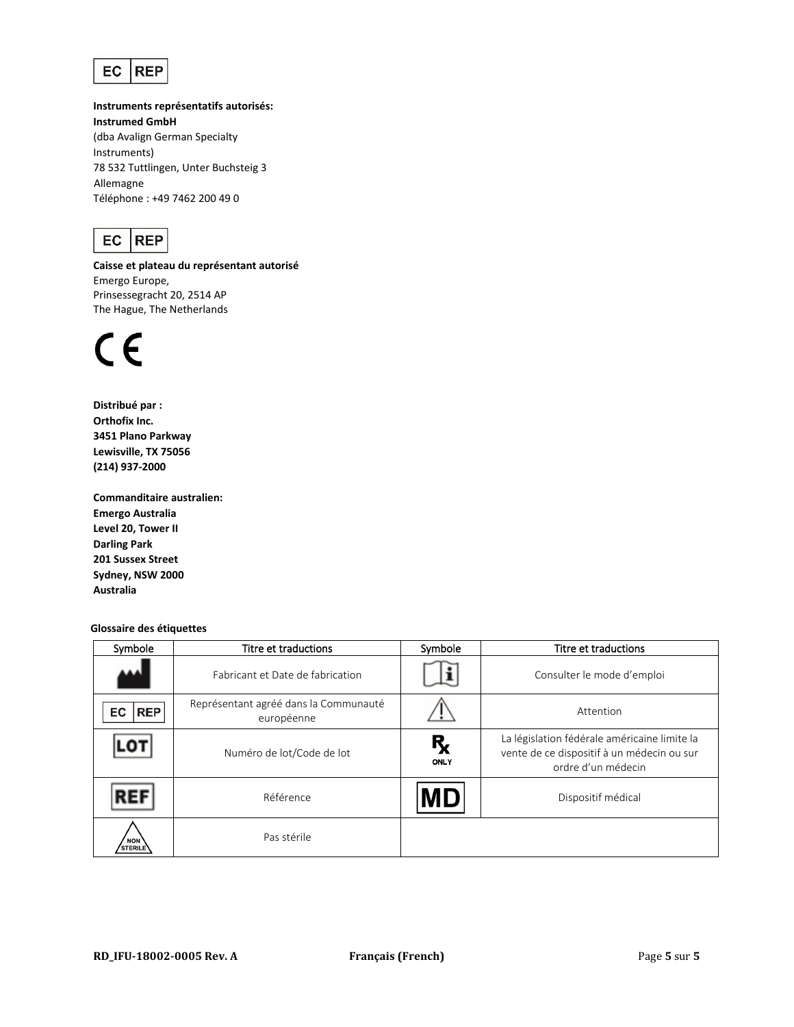

**Instruments représentatifs autorisés: Instrumed GmbH** (dba Avalign German Specialty Instruments) 78 532 Tuttlingen, Unter Buchsteig 3 Allemagne Téléphone : +49 7462 200 49 0



**Caisse et plateau du représentant autorisé** Emergo Europe, Prinsessegracht 20, 2514 AP The Hague, The Netherlands



**Distribué par : Orthofix Inc. 3451 Plano Parkway Lewisville, TX 75056 (214) 937-2000**

**Commanditaire australien: Emergo Australia Level 20, Tower II Darling Park 201 Sussex Street Sydney, NSW 2000 Australia**

**Glossaire des étiquettes**

| Symbole                      | Titre et traductions                                | Symbole            | Titre et traductions                                                                                             |
|------------------------------|-----------------------------------------------------|--------------------|------------------------------------------------------------------------------------------------------------------|
|                              | Fabricant et Date de fabrication                    |                    | Consulter le mode d'emploi                                                                                       |
| <b>REP</b><br>EC             | Représentant agréé dans la Communauté<br>européenne |                    | Attention                                                                                                        |
|                              | Numéro de lot/Code de lot                           | $R_{\chi}$<br>ONLY | La législation fédérale américaine limite la<br>vente de ce dispositif à un médecin ou sur<br>ordre d'un médecin |
|                              | Référence                                           | <b>MD</b>          | Dispositif médical                                                                                               |
| <b>NON</b><br><b>STERILE</b> | Pas stérile                                         |                    |                                                                                                                  |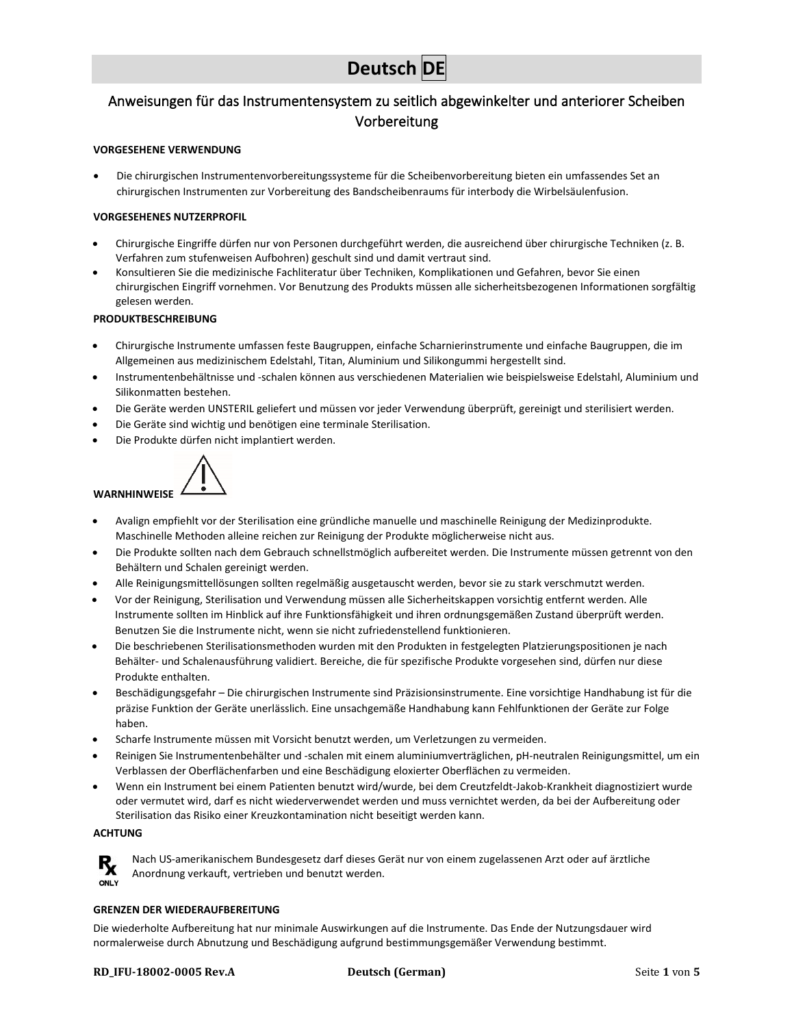# **Deutsch DE**

# <span id="page-10-0"></span>Anweisungen für das Instrumentensystem zu seitlich abgewinkelter und anteriorer Scheiben Vorbereitung

#### **VORGESEHENE VERWENDUNG**

• Die chirurgischen Instrumentenvorbereitungssysteme für die Scheibenvorbereitung bieten ein umfassendes Set an chirurgischen Instrumenten zur Vorbereitung des Bandscheibenraums für interbody die Wirbelsäulenfusion.

#### **VORGESEHENES NUTZERPROFIL**

- Chirurgische Eingriffe dürfen nur von Personen durchgeführt werden, die ausreichend über chirurgische Techniken (z. B. Verfahren zum stufenweisen Aufbohren) geschult sind und damit vertraut sind.
- Konsultieren Sie die medizinische Fachliteratur über Techniken, Komplikationen und Gefahren, bevor Sie einen chirurgischen Eingriff vornehmen. Vor Benutzung des Produkts müssen alle sicherheitsbezogenen Informationen sorgfältig gelesen werden.

### **PRODUKTBESCHREIBUNG**

- Chirurgische Instrumente umfassen feste Baugruppen, einfache Scharnierinstrumente und einfache Baugruppen, die im Allgemeinen aus medizinischem Edelstahl, Titan, Aluminium und Silikongummi hergestellt sind.
- Instrumentenbehältnisse und -schalen können aus verschiedenen Materialien wie beispielsweise Edelstahl, Aluminium und Silikonmatten bestehen.
- Die Geräte werden UNSTERIL geliefert und müssen vor jeder Verwendung überprüft, gereinigt und sterilisiert werden.
- Die Geräte sind wichtig und benötigen eine terminale Sterilisation.
- Die Produkte dürfen nicht implantiert werden.



- Avalign empfiehlt vor der Sterilisation eine gründliche manuelle und maschinelle Reinigung der Medizinprodukte. Maschinelle Methoden alleine reichen zur Reinigung der Produkte möglicherweise nicht aus.
- Die Produkte sollten nach dem Gebrauch schnellstmöglich aufbereitet werden. Die Instrumente müssen getrennt von den Behältern und Schalen gereinigt werden.
- Alle Reinigungsmittellösungen sollten regelmäßig ausgetauscht werden, bevor sie zu stark verschmutzt werden.
- Vor der Reinigung, Sterilisation und Verwendung müssen alle Sicherheitskappen vorsichtig entfernt werden. Alle Instrumente sollten im Hinblick auf ihre Funktionsfähigkeit und ihren ordnungsgemäßen Zustand überprüft werden. Benutzen Sie die Instrumente nicht, wenn sie nicht zufriedenstellend funktionieren.
- Die beschriebenen Sterilisationsmethoden wurden mit den Produkten in festgelegten Platzierungspositionen je nach Behälter- und Schalenausführung validiert. Bereiche, die für spezifische Produkte vorgesehen sind, dürfen nur diese Produkte enthalten.
- Beschädigungsgefahr Die chirurgischen Instrumente sind Präzisionsinstrumente. Eine vorsichtige Handhabung ist für die präzise Funktion der Geräte unerlässlich. Eine unsachgemäße Handhabung kann Fehlfunktionen der Geräte zur Folge haben.
- Scharfe Instrumente müssen mit Vorsicht benutzt werden, um Verletzungen zu vermeiden.
- Reinigen Sie Instrumentenbehälter und -schalen mit einem aluminiumverträglichen, pH-neutralen Reinigungsmittel, um ein Verblassen der Oberflächenfarben und eine Beschädigung eloxierter Oberflächen zu vermeiden.
- Wenn ein Instrument bei einem Patienten benutzt wird/wurde, bei dem Creutzfeldt-Jakob-Krankheit diagnostiziert wurde oder vermutet wird, darf es nicht wiederverwendet werden und muss vernichtet werden, da bei der Aufbereitung oder Sterilisation das Risiko einer Kreuzkontamination nicht beseitigt werden kann.

#### **ACHTUNG**



Nach US-amerikanischem Bundesgesetz darf dieses Gerät nur von einem zugelassenen Arzt oder auf ärztliche Anordnung verkauft, vertrieben und benutzt werden.

#### **GRENZEN DER WIEDERAUFBEREITUNG**

Die wiederholte Aufbereitung hat nur minimale Auswirkungen auf die Instrumente. Das Ende der Nutzungsdauer wird normalerweise durch Abnutzung und Beschädigung aufgrund bestimmungsgemäßer Verwendung bestimmt.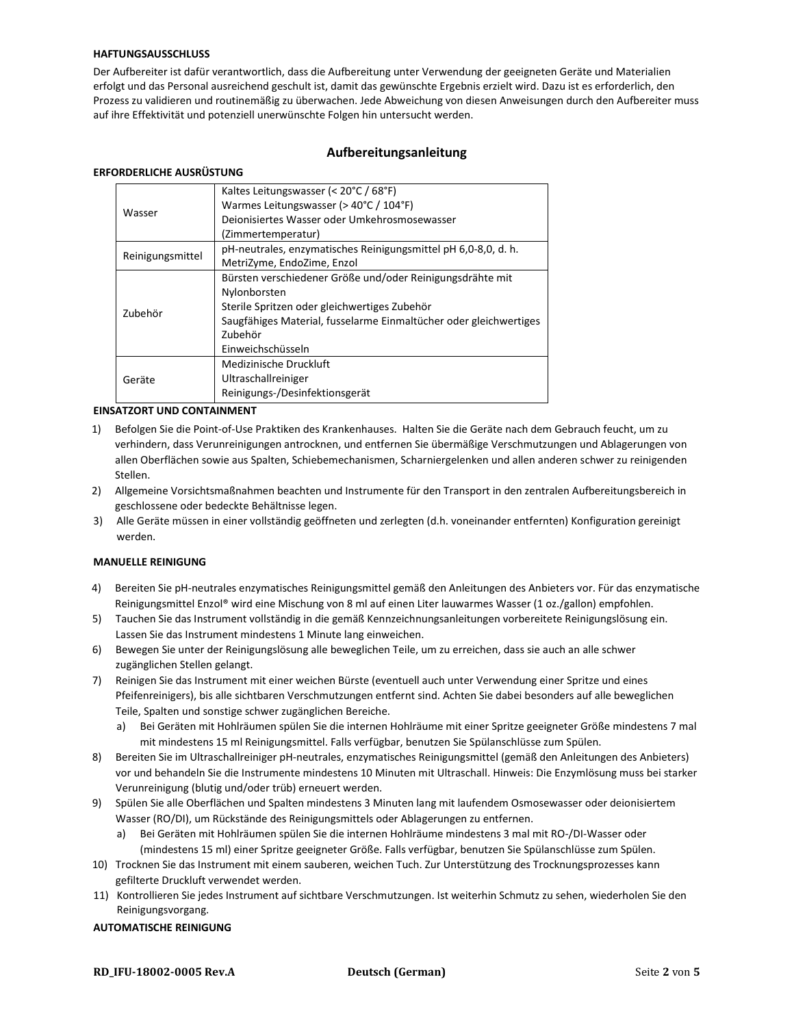#### **HAFTUNGSAUSSCHLUSS**

Der Aufbereiter ist dafür verantwortlich, dass die Aufbereitung unter Verwendung der geeigneten Geräte und Materialien erfolgt und das Personal ausreichend geschult ist, damit das gewünschte Ergebnis erzielt wird. Dazu ist es erforderlich, den Prozess zu validieren und routinemäßig zu überwachen. Jede Abweichung von diesen Anweisungen durch den Aufbereiter muss auf ihre Effektivität und potenziell unerwünschte Folgen hin untersucht werden.

### **Aufbereitungsanleitung**

#### **ERFORDERLICHE AUSRÜSTUNG**

| Wasser           | Kaltes Leitungswasser (< 20°C / 68°F)                             |
|------------------|-------------------------------------------------------------------|
|                  | Warmes Leitungswasser (> 40°C / 104°F)                            |
|                  | Dejonisiertes Wasser oder Umkehrosmosewasser                      |
|                  | (Zimmertemperatur)                                                |
| Reinigungsmittel | pH-neutrales, enzymatisches Reinigungsmittel pH 6,0-8,0, d. h.    |
|                  | MetriZyme, EndoZime, Enzol                                        |
|                  | Bürsten verschiedener Größe und/oder Reinigungsdrähte mit         |
|                  | Nylonborsten                                                      |
| Zubehör          | Sterile Spritzen oder gleichwertiges Zubehör                      |
|                  | Saugfähiges Material, fusselarme Einmaltücher oder gleichwertiges |
|                  | Zubehör                                                           |
|                  | Einweichschüsseln                                                 |
| Geräte           | Medizinische Druckluft                                            |
|                  | Ultraschallreiniger                                               |
|                  | Reinigungs-/Desinfektionsgerät                                    |

#### **EINSATZORT UND CONTAINMENT**

- 1) Befolgen Sie die Point-of-Use Praktiken des Krankenhauses. Halten Sie die Geräte nach dem Gebrauch feucht, um zu verhindern, dass Verunreinigungen antrocknen, und entfernen Sie übermäßige Verschmutzungen und Ablagerungen von allen Oberflächen sowie aus Spalten, Schiebemechanismen, Scharniergelenken und allen anderen schwer zu reinigenden Stellen.
- 2) Allgemeine Vorsichtsmaßnahmen beachten und Instrumente für den Transport in den zentralen Aufbereitungsbereich in geschlossene oder bedeckte Behältnisse legen.
- 3) Alle Geräte müssen in einer vollständig geöffneten und zerlegten (d.h. voneinander entfernten) Konfiguration gereinigt werden.

#### **MANUELLE REINIGUNG**

- 4) Bereiten Sie pH-neutrales enzymatisches Reinigungsmittel gemäß den Anleitungen des Anbieters vor. Für das enzymatische Reinigungsmittel Enzol® wird eine Mischung von 8 ml auf einen Liter lauwarmes Wasser (1 oz./gallon) empfohlen.
- 5) Tauchen Sie das Instrument vollständig in die gemäß Kennzeichnungsanleitungen vorbereitete Reinigungslösung ein. Lassen Sie das Instrument mindestens 1 Minute lang einweichen.
- 6) Bewegen Sie unter der Reinigungslösung alle beweglichen Teile, um zu erreichen, dass sie auch an alle schwer zugänglichen Stellen gelangt.
- 7) Reinigen Sie das Instrument mit einer weichen Bürste (eventuell auch unter Verwendung einer Spritze und eines Pfeifenreinigers), bis alle sichtbaren Verschmutzungen entfernt sind. Achten Sie dabei besonders auf alle beweglichen Teile, Spalten und sonstige schwer zugänglichen Bereiche.
	- a) Bei Geräten mit Hohlräumen spülen Sie die internen Hohlräume mit einer Spritze geeigneter Größe mindestens 7 mal mit mindestens 15 ml Reinigungsmittel. Falls verfügbar, benutzen Sie Spülanschlüsse zum Spülen.
- 8) Bereiten Sie im Ultraschallreiniger pH-neutrales, enzymatisches Reinigungsmittel (gemäß den Anleitungen des Anbieters) vor und behandeln Sie die Instrumente mindestens 10 Minuten mit Ultraschall. Hinweis: Die Enzymlösung muss bei starker Verunreinigung (blutig und/oder trüb) erneuert werden.
- 9) Spülen Sie alle Oberflächen und Spalten mindestens 3 Minuten lang mit laufendem Osmosewasser oder deionisiertem Wasser (RO/DI), um Rückstände des Reinigungsmittels oder Ablagerungen zu entfernen.
	- a) Bei Geräten mit Hohlräumen spülen Sie die internen Hohlräume mindestens 3 mal mit RO-/DI-Wasser oder (mindestens 15 ml) einer Spritze geeigneter Größe. Falls verfügbar, benutzen Sie Spülanschlüsse zum Spülen.
- 10) Trocknen Sie das Instrument mit einem sauberen, weichen Tuch. Zur Unterstützung des Trocknungsprozesses kann gefilterte Druckluft verwendet werden.
- 11) Kontrollieren Sie jedes Instrument auf sichtbare Verschmutzungen. Ist weiterhin Schmutz zu sehen, wiederholen Sie den Reinigungsvorgang.

#### **AUTOMATISCHE REINIGUNG**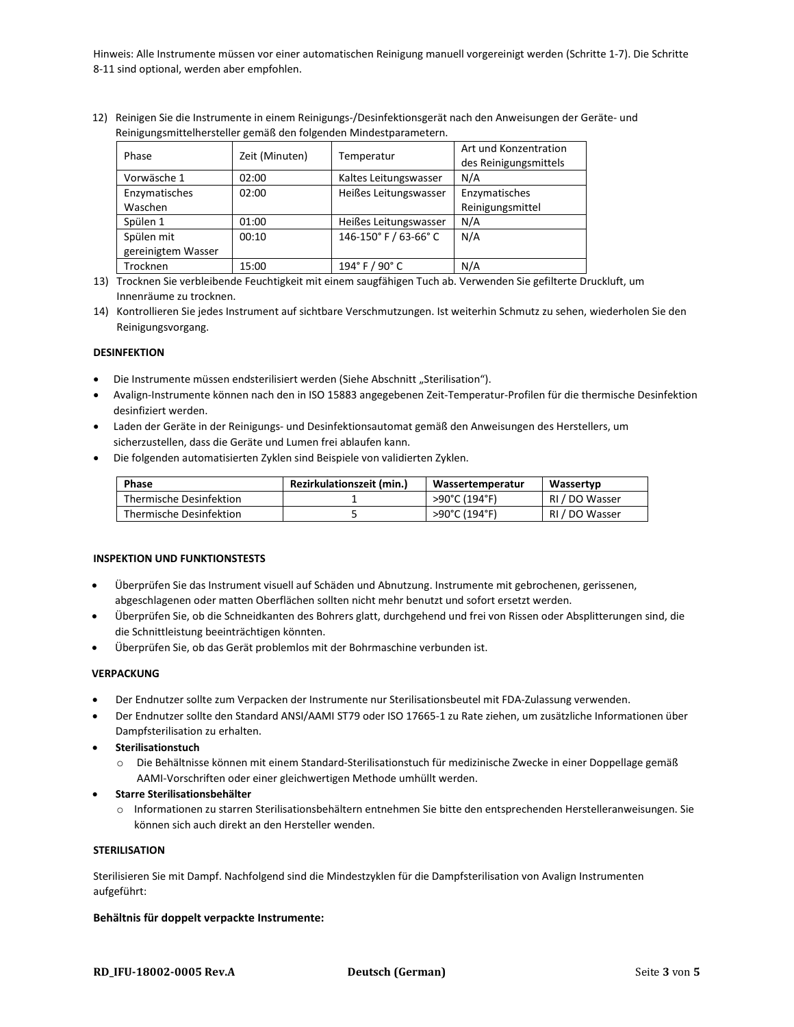Hinweis: Alle Instrumente müssen vor einer automatischen Reinigung manuell vorgereinigt werden (Schritte 1-7). Die Schritte 8-11 sind optional, werden aber empfohlen.

12) Reinigen Sie die Instrumente in einem Reinigungs-/Desinfektionsgerät nach den Anweisungen der Geräte- und Reinigungsmittelhersteller gemäß den folgenden Mindestparametern.

| Phase              | Zeit (Minuten) | Temperatur            | Art und Konzentration<br>des Reinigungsmittels |
|--------------------|----------------|-----------------------|------------------------------------------------|
| Vorwäsche 1        | 02:00          | Kaltes Leitungswasser | N/A                                            |
| Enzymatisches      | 02:00          | Heißes Leitungswasser | Enzymatisches                                  |
| Waschen            |                |                       | Reinigungsmittel                               |
| Spülen 1           | 01:00          | Heißes Leitungswasser | N/A                                            |
| Spülen mit         | 00:10          | 146-150° F / 63-66° C | N/A                                            |
| gereinigtem Wasser |                |                       |                                                |
| Trocknen           | 15:00          | 194° F / 90° C        | N/A                                            |

13) Trocknen Sie verbleibende Feuchtigkeit mit einem saugfähigen Tuch ab. Verwenden Sie gefilterte Druckluft, um Innenräume zu trocknen.

14) Kontrollieren Sie jedes Instrument auf sichtbare Verschmutzungen. Ist weiterhin Schmutz zu sehen, wiederholen Sie den Reinigungsvorgang.

#### **DESINFEKTION**

- Die Instrumente müssen endsterilisiert werden (Siehe Abschnitt "Sterilisation").
- Avalign-Instrumente können nach den in ISO 15883 angegebenen Zeit-Temperatur-Profilen für die thermische Desinfektion desinfiziert werden.
- Laden der Geräte in der Reinigungs- und Desinfektionsautomat gemäß den Anweisungen des Herstellers, um sicherzustellen, dass die Geräte und Lumen frei ablaufen kann.
- Die folgenden automatisierten Zyklen sind Beispiele von validierten Zyklen.

| Phase                   | <b>Rezirkulationszeit (min.)</b> | Wassertemperatur | Wassertyp      |
|-------------------------|----------------------------------|------------------|----------------|
| Thermische Desinfektion |                                  | >90°C (194°F)    | RI / DO Wasser |
| Thermische Desinfektion |                                  | >90°C (194°F)    | RI / DO Wasser |

#### **INSPEKTION UND FUNKTIONSTESTS**

- Überprüfen Sie das Instrument visuell auf Schäden und Abnutzung. Instrumente mit gebrochenen, gerissenen, abgeschlagenen oder matten Oberflächen sollten nicht mehr benutzt und sofort ersetzt werden.
- Überprüfen Sie, ob die Schneidkanten des Bohrers glatt, durchgehend und frei von Rissen oder Absplitterungen sind, die die Schnittleistung beeinträchtigen könnten.
- Überprüfen Sie, ob das Gerät problemlos mit der Bohrmaschine verbunden ist.

#### **VERPACKUNG**

- Der Endnutzer sollte zum Verpacken der Instrumente nur Sterilisationsbeutel mit FDA-Zulassung verwenden.
- Der Endnutzer sollte den Standard ANSI/AAMI ST79 oder ISO 17665-1 zu Rate ziehen, um zusätzliche Informationen über Dampfsterilisation zu erhalten.
- **Sterilisationstuch**
	- o Die Behältnisse können mit einem Standard-Sterilisationstuch für medizinische Zwecke in einer Doppellage gemäß AAMI-Vorschriften oder einer gleichwertigen Methode umhüllt werden.
- **Starre Sterilisationsbehälter**
	- o Informationen zu starren Sterilisationsbehältern entnehmen Sie bitte den entsprechenden Herstelleranweisungen. Sie können sich auch direkt an den Hersteller wenden.

#### **STERILISATION**

Sterilisieren Sie mit Dampf. Nachfolgend sind die Mindestzyklen für die Dampfsterilisation von Avalign Instrumenten aufgeführt:

#### **Behältnis für doppelt verpackte Instrumente:**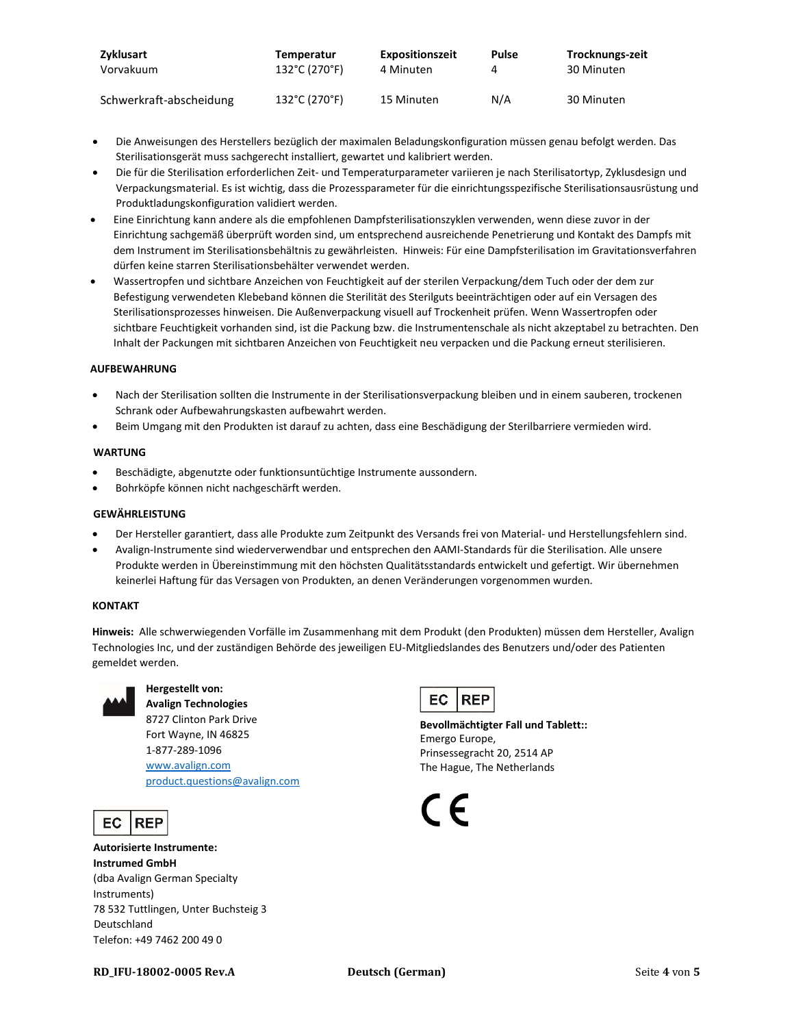| Zyklusart               | Temperatur    | <b>Expositionszeit</b> | <b>Pulse</b> | Trocknungs-zeit |
|-------------------------|---------------|------------------------|--------------|-----------------|
| Vorvakuum               | 132°C (270°F) | 4 Minuten              |              | 30 Minuten      |
| Schwerkraft-abscheidung | 132°C (270°F) | 15 Minuten             | N/A          | 30 Minuten      |

- Die Anweisungen des Herstellers bezüglich der maximalen Beladungskonfiguration müssen genau befolgt werden. Das Sterilisationsgerät muss sachgerecht installiert, gewartet und kalibriert werden.
- Die für die Sterilisation erforderlichen Zeit- und Temperaturparameter variieren je nach Sterilisatortyp, Zyklusdesign und Verpackungsmaterial. Es ist wichtig, dass die Prozessparameter für die einrichtungsspezifische Sterilisationsausrüstung und Produktladungskonfiguration validiert werden.
- Eine Einrichtung kann andere als die empfohlenen Dampfsterilisationszyklen verwenden, wenn diese zuvor in der Einrichtung sachgemäß überprüft worden sind, um entsprechend ausreichende Penetrierung und Kontakt des Dampfs mit dem Instrument im Sterilisationsbehältnis zu gewährleisten. Hinweis: Für eine Dampfsterilisation im Gravitationsverfahren dürfen keine starren Sterilisationsbehälter verwendet werden.
- Wassertropfen und sichtbare Anzeichen von Feuchtigkeit auf der sterilen Verpackung/dem Tuch oder der dem zur Befestigung verwendeten Klebeband können die Sterilität des Sterilguts beeinträchtigen oder auf ein Versagen des Sterilisationsprozesses hinweisen. Die Außenverpackung visuell auf Trockenheit prüfen. Wenn Wassertropfen oder sichtbare Feuchtigkeit vorhanden sind, ist die Packung bzw. die Instrumentenschale als nicht akzeptabel zu betrachten. Den Inhalt der Packungen mit sichtbaren Anzeichen von Feuchtigkeit neu verpacken und die Packung erneut sterilisieren.

#### **AUFBEWAHRUNG**

- Nach der Sterilisation sollten die Instrumente in der Sterilisationsverpackung bleiben und in einem sauberen, trockenen Schrank oder Aufbewahrungskasten aufbewahrt werden.
- Beim Umgang mit den Produkten ist darauf zu achten, dass eine Beschädigung der Sterilbarriere vermieden wird.

#### **WARTUNG**

- Beschädigte, abgenutzte oder funktionsuntüchtige Instrumente aussondern.
- Bohrköpfe können nicht nachgeschärft werden.

#### **GEWÄHRLEISTUNG**

- Der Hersteller garantiert, dass alle Produkte zum Zeitpunkt des Versands frei von Material- und Herstellungsfehlern sind.
- Avalign-Instrumente sind wiederverwendbar und entsprechen den AAMI-Standards für die Sterilisation. Alle unsere Produkte werden in Übereinstimmung mit den höchsten Qualitätsstandards entwickelt und gefertigt. Wir übernehmen keinerlei Haftung für das Versagen von Produkten, an denen Veränderungen vorgenommen wurden.

#### **KONTAKT**

**Hinweis:** Alle schwerwiegenden Vorfälle im Zusammenhang mit dem Produkt (den Produkten) müssen dem Hersteller, Avalign Technologies Inc, und der zuständigen Behörde des jeweiligen EU-Mitgliedslandes des Benutzers und/oder des Patienten gemeldet werden.



# **Hergestellt von:**

**Avalign Technologies** 8727 Clinton Park Drive Fort Wayne, IN 46825 1-877-289-1096 [www.avalign.com](http://www.avalign.com/) [product.questions@avalign.com](mailto:product.questions@avalign.com)

EC **REP** 

**Autorisierte Instrumente: Instrumed GmbH** (dba Avalign German Specialty Instruments) 78 532 Tuttlingen, Unter Buchsteig 3 Deutschland Telefon: +49 7462 200 49 0



**Bevollmächtigter Fall und Tablett::** Emergo Europe, Prinsessegracht 20, 2514 AP The Hague, The Netherlands

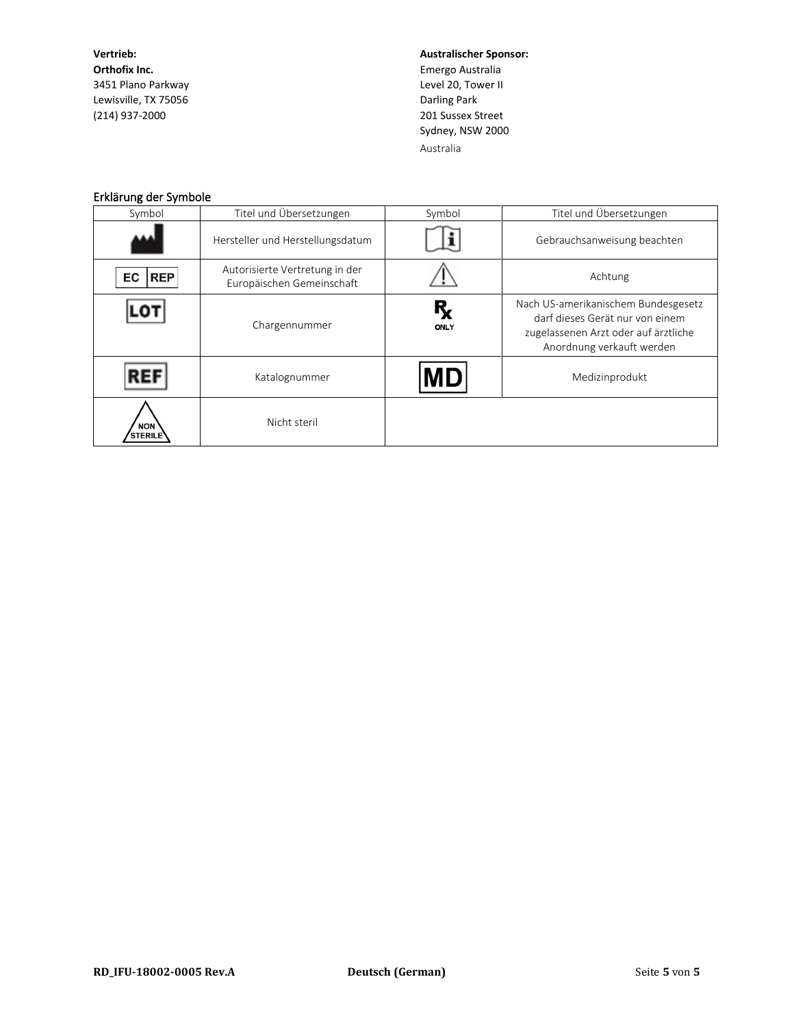**Vertrieb: Orthofix Inc.** 3451 Plano Parkway Lewisville, TX 75056 (214) 937-2000

**Australischer Sponsor:** Emergo Australia Level 20, Tower II Darling Park 201 Sussex Street Sydney, NSW 2000 Australia

## Erklärung der Symbole

| Symbol                       | Titel und Übersetzungen                                     | Symbol                 | Titel und Übersetzungen                                                                                                                     |
|------------------------------|-------------------------------------------------------------|------------------------|---------------------------------------------------------------------------------------------------------------------------------------------|
|                              | Hersteller und Herstellungsdatum                            |                        | Gebrauchsanweisung beachten                                                                                                                 |
| <b>REP</b><br>EC             | Autorisierte Vertretung in der<br>Europäischen Gemeinschaft |                        | Achtung                                                                                                                                     |
|                              | Chargennummer                                               | $R_{x}$<br><b>ONLY</b> | Nach US-amerikanischem Bundesgesetz<br>darf dieses Gerät nur von einem<br>zugelassenen Arzt oder auf ärztliche<br>Anordnung verkauft werden |
|                              | Katalognummer                                               | MD                     | Medizinprodukt                                                                                                                              |
| <b>NON</b><br><b>STERILE</b> | Nicht steril                                                |                        |                                                                                                                                             |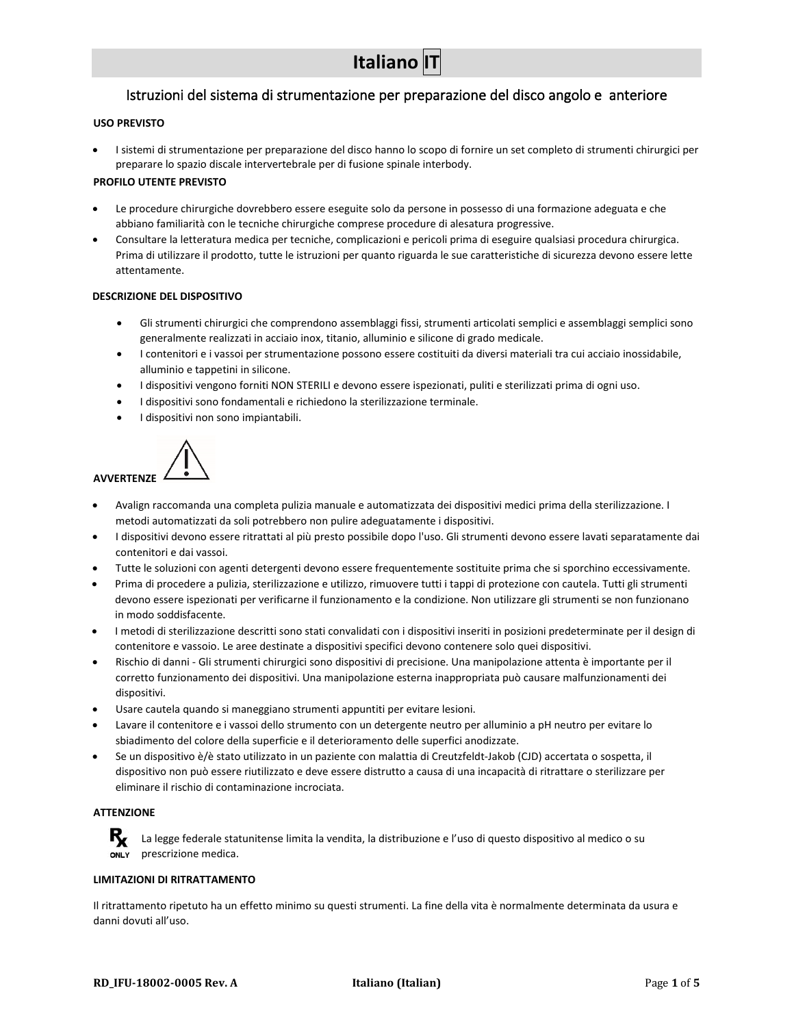# Istruzioni del sistema di strumentazione per preparazione del disco angolo e anteriore

#### <span id="page-15-0"></span>**USO PREVISTO**

• I sistemi di strumentazione per preparazione del disco hanno lo scopo di fornire un set completo di strumenti chirurgici per preparare lo spazio discale intervertebrale per di fusione spinale interbody.

#### **PROFILO UTENTE PREVISTO**

- Le procedure chirurgiche dovrebbero essere eseguite solo da persone in possesso di una formazione adeguata e che abbiano familiarità con le tecniche chirurgiche comprese procedure di alesatura progressive.
- Consultare la letteratura medica per tecniche, complicazioni e pericoli prima di eseguire qualsiasi procedura chirurgica. Prima di utilizzare il prodotto, tutte le istruzioni per quanto riguarda le sue caratteristiche di sicurezza devono essere lette attentamente.

#### **DESCRIZIONE DEL DISPOSITIVO**

- Gli strumenti chirurgici che comprendono assemblaggi fissi, strumenti articolati semplici e assemblaggi semplici sono generalmente realizzati in acciaio inox, titanio, alluminio e silicone di grado medicale.
- I contenitori e i vassoi per strumentazione possono essere costituiti da diversi materiali tra cui acciaio inossidabile, alluminio e tappetini in silicone.
- I dispositivi vengono forniti NON STERILI e devono essere ispezionati, puliti e sterilizzati prima di ogni uso.
- I dispositivi sono fondamentali e richiedono la sterilizzazione terminale.
- I dispositivi non sono impiantabili.



- Avalign raccomanda una completa pulizia manuale e automatizzata dei dispositivi medici prima della sterilizzazione. I metodi automatizzati da soli potrebbero non pulire adeguatamente i dispositivi.
- I dispositivi devono essere ritrattati al più presto possibile dopo l'uso. Gli strumenti devono essere lavati separatamente dai contenitori e dai vassoi.
- Tutte le soluzioni con agenti detergenti devono essere frequentemente sostituite prima che si sporchino eccessivamente.
- Prima di procedere a pulizia, sterilizzazione e utilizzo, rimuovere tutti i tappi di protezione con cautela. Tutti gli strumenti devono essere ispezionati per verificarne il funzionamento e la condizione. Non utilizzare gli strumenti se non funzionano in modo soddisfacente.
- I metodi di sterilizzazione descritti sono stati convalidati con i dispositivi inseriti in posizioni predeterminate per il design di contenitore e vassoio. Le aree destinate a dispositivi specifici devono contenere solo quei dispositivi.
- Rischio di danni Gli strumenti chirurgici sono dispositivi di precisione. Una manipolazione attenta è importante per il corretto funzionamento dei dispositivi. Una manipolazione esterna inappropriata può causare malfunzionamenti dei dispositivi.
- Usare cautela quando si maneggiano strumenti appuntiti per evitare lesioni.
- Lavare il contenitore e i vassoi dello strumento con un detergente neutro per alluminio a pH neutro per evitare lo sbiadimento del colore della superficie e il deterioramento delle superfici anodizzate.
- Se un dispositivo è/è stato utilizzato in un paziente con malattia di Creutzfeldt-Jakob (CJD) accertata o sospetta, il dispositivo non può essere riutilizzato e deve essere distrutto a causa di una incapacità di ritrattare o sterilizzare per eliminare il rischio di contaminazione incrociata.

### **ATTENZIONE**

R<sub>x</sub> La legge federale statunitense limita la vendita, la distribuzione e l'uso di questo dispositivo al medico o su prescrizione medica. ONLY

#### **LIMITAZIONI DI RITRATTAMENTO**

Il ritrattamento ripetuto ha un effetto minimo su questi strumenti. La fine della vita è normalmente determinata da usura e danni dovuti all'uso.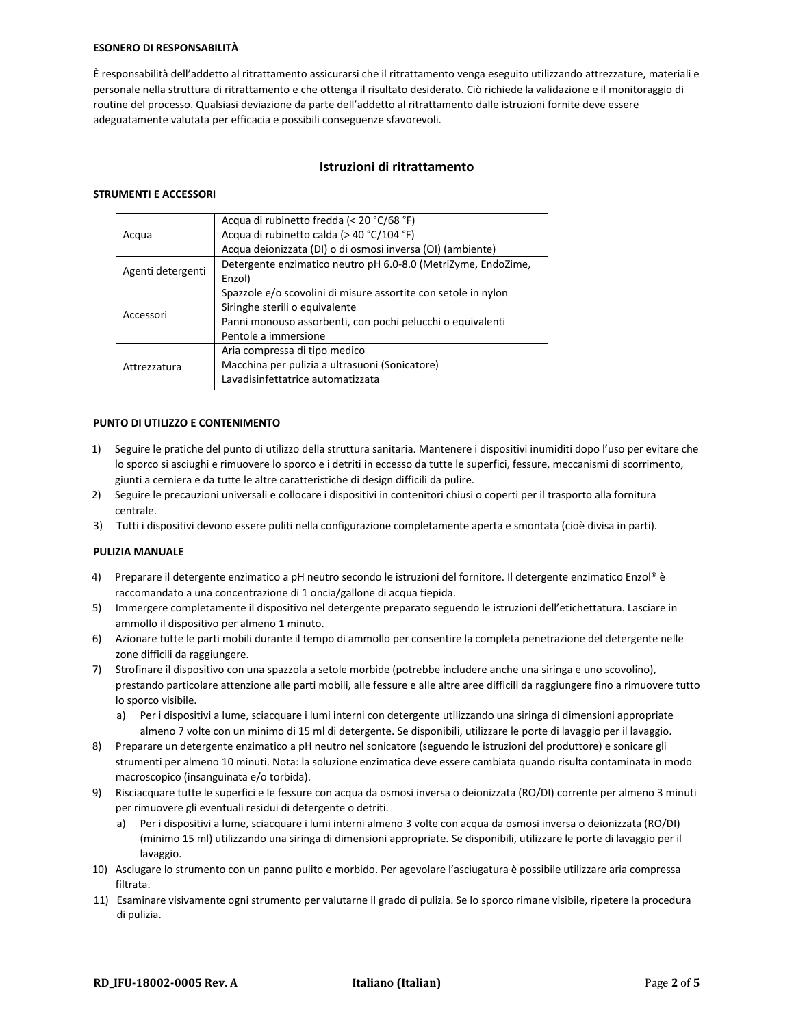#### **ESONERO DI RESPONSABILITÀ**

È responsabilità dell'addetto al ritrattamento assicurarsi che il ritrattamento venga eseguito utilizzando attrezzature, materiali e personale nella struttura di ritrattamento e che ottenga il risultato desiderato. Ciò richiede la validazione e il monitoraggio di routine del processo. Qualsiasi deviazione da parte dell'addetto al ritrattamento dalle istruzioni fornite deve essere adeguatamente valutata per efficacia e possibili conseguenze sfavorevoli.

## **Istruzioni di ritrattamento**

#### **STRUMENTI E ACCESSORI**

|                   | Acqua di rubinetto fredda (< 20 °C/68 °F)                      |
|-------------------|----------------------------------------------------------------|
| Acqua             | Acqua di rubinetto calda (> 40 °C/104 °F)                      |
|                   | Acqua deionizzata (DI) o di osmosi inversa (OI) (ambiente)     |
|                   | Detergente enzimatico neutro pH 6.0-8.0 (MetriZyme, EndoZime,  |
| Agenti detergenti | Enzol)                                                         |
|                   | Spazzole e/o scovolini di misure assortite con setole in nylon |
| Accessori         | Siringhe sterili o equivalente                                 |
|                   | Panni monouso assorbenti, con pochi pelucchi o equivalenti     |
|                   | Pentole a immersione                                           |
| Attrezzatura      | Aria compressa di tipo medico                                  |
|                   | Macchina per pulizia a ultrasuoni (Sonicatore)                 |
|                   | Lavadisinfettatrice automatizzata                              |
|                   |                                                                |

#### **PUNTO DI UTILIZZO E CONTENIMENTO**

- 1) Seguire le pratiche del punto di utilizzo della struttura sanitaria. Mantenere i dispositivi inumiditi dopo l'uso per evitare che lo sporco si asciughi e rimuovere lo sporco e i detriti in eccesso da tutte le superfici, fessure, meccanismi di scorrimento, giunti a cerniera e da tutte le altre caratteristiche di design difficili da pulire.
- 2) Seguire le precauzioni universali e collocare i dispositivi in contenitori chiusi o coperti per il trasporto alla fornitura centrale.
- 3) Tutti i dispositivi devono essere puliti nella configurazione completamente aperta e smontata (cioè divisa in parti).

#### **PULIZIA MANUALE**

- 4) Preparare il detergente enzimatico a pH neutro secondo le istruzioni del fornitore. Il detergente enzimatico Enzol® è raccomandato a una concentrazione di 1 oncia/gallone di acqua tiepida.
- 5) Immergere completamente il dispositivo nel detergente preparato seguendo le istruzioni dell'etichettatura. Lasciare in ammollo il dispositivo per almeno 1 minuto.
- 6) Azionare tutte le parti mobili durante il tempo di ammollo per consentire la completa penetrazione del detergente nelle zone difficili da raggiungere.
- 7) Strofinare il dispositivo con una spazzola a setole morbide (potrebbe includere anche una siringa e uno scovolino), prestando particolare attenzione alle parti mobili, alle fessure e alle altre aree difficili da raggiungere fino a rimuovere tutto lo sporco visibile.
	- a) Per i dispositivi a lume, sciacquare i lumi interni con detergente utilizzando una siringa di dimensioni appropriate almeno 7 volte con un minimo di 15 ml di detergente. Se disponibili, utilizzare le porte di lavaggio per il lavaggio.
- 8) Preparare un detergente enzimatico a pH neutro nel sonicatore (seguendo le istruzioni del produttore) e sonicare gli strumenti per almeno 10 minuti. Nota: la soluzione enzimatica deve essere cambiata quando risulta contaminata in modo macroscopico (insanguinata e/o torbida).
- 9) Risciacquare tutte le superfici e le fessure con acqua da osmosi inversa o deionizzata (RO/DI) corrente per almeno 3 minuti per rimuovere gli eventuali residui di detergente o detriti.
	- a) Per i dispositivi a lume, sciacquare i lumi interni almeno 3 volte con acqua da osmosi inversa o deionizzata (RO/DI) (minimo 15 ml) utilizzando una siringa di dimensioni appropriate. Se disponibili, utilizzare le porte di lavaggio per il lavaggio.
- 10) Asciugare lo strumento con un panno pulito e morbido. Per agevolare l'asciugatura è possibile utilizzare aria compressa filtrata.
- 11) Esaminare visivamente ogni strumento per valutarne il grado di pulizia. Se lo sporco rimane visibile, ripetere la procedura di pulizia.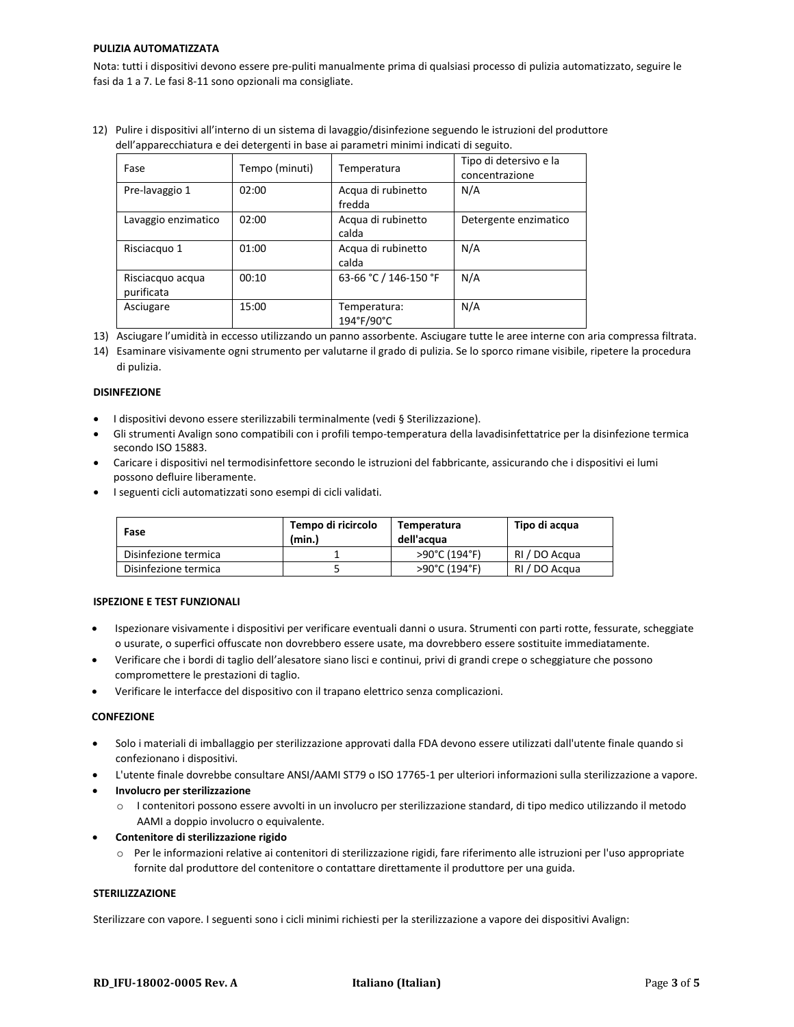#### **PULIZIA AUTOMATIZZATA**

Nota: tutti i dispositivi devono essere pre-puliti manualmente prima di qualsiasi processo di pulizia automatizzato, seguire le fasi da 1 a 7. Le fasi 8-11 sono opzionali ma consigliate.

12) Pulire i dispositivi all'interno di un sistema di lavaggio/disinfezione seguendo le istruzioni del produttore dell'apparecchiatura e dei detergenti in base ai parametri minimi indicati di seguito.

| Fase                           | Tempo (minuti) | Temperatura                  | Tipo di detersivo e la<br>concentrazione |
|--------------------------------|----------------|------------------------------|------------------------------------------|
| Pre-lavaggio 1                 | 02:00          | Acqua di rubinetto<br>fredda | N/A                                      |
| Lavaggio enzimatico            | 02:00          | Acqua di rubinetto<br>calda  | Detergente enzimatico                    |
| Risciacquo 1                   | 01:00          | Acqua di rubinetto<br>calda  | N/A                                      |
| Risciacquo acqua<br>purificata | 00:10          | 63-66 °C / 146-150 °F        | N/A                                      |
| Asciugare                      | 15:00          | Temperatura:<br>194°F/90°C   | N/A                                      |

13) Asciugare l'umidità in eccesso utilizzando un panno assorbente. Asciugare tutte le aree interne con aria compressa filtrata.

#### **DISINFEZIONE**

- I dispositivi devono essere sterilizzabili terminalmente (vedi § Sterilizzazione).
- Gli strumenti Avalign sono compatibili con i profili tempo-temperatura della lavadisinfettatrice per la disinfezione termica secondo ISO 15883.
- Caricare i dispositivi nel termodisinfettore secondo le istruzioni del fabbricante, assicurando che i dispositivi ei lumi possono defluire liberamente.
- I seguenti cicli automatizzati sono esempi di cicli validati.

| Fase                 | Tempo di ricircolo<br>(min.) | Temperatura<br>dell'acqua | Tipo di acqua |
|----------------------|------------------------------|---------------------------|---------------|
| Disinfezione termica |                              | >90°C (194°F)             | RI / DO Acqua |
| Disinfezione termica |                              | >90°C (194°F)             | RI / DO Acqua |

#### **ISPEZIONE E TEST FUNZIONALI**

- Ispezionare visivamente i dispositivi per verificare eventuali danni o usura. Strumenti con parti rotte, fessurate, scheggiate o usurate, o superfici offuscate non dovrebbero essere usate, ma dovrebbero essere sostituite immediatamente.
- Verificare che i bordi di taglio dell'alesatore siano lisci e continui, privi di grandi crepe o scheggiature che possono compromettere le prestazioni di taglio.
- Verificare le interfacce del dispositivo con il trapano elettrico senza complicazioni.

#### **CONFEZIONE**

- Solo i materiali di imballaggio per sterilizzazione approvati dalla FDA devono essere utilizzati dall'utente finale quando si confezionano i dispositivi.
- L'utente finale dovrebbe consultare ANSI/AAMI ST79 o ISO 17765-1 per ulteriori informazioni sulla sterilizzazione a vapore.
- **Involucro per sterilizzazione**
	- o I contenitori possono essere avvolti in un involucro per sterilizzazione standard, di tipo medico utilizzando il metodo AAMI a doppio involucro o equivalente.
- **Contenitore di sterilizzazione rigido**
	- o Per le informazioni relative ai contenitori di sterilizzazione rigidi, fare riferimento alle istruzioni per l'uso appropriate fornite dal produttore del contenitore o contattare direttamente il produttore per una guida.

#### **STERILIZZAZIONE**

Sterilizzare con vapore. I seguenti sono i cicli minimi richiesti per la sterilizzazione a vapore dei dispositivi Avalign:

<sup>14)</sup> Esaminare visivamente ogni strumento per valutarne il grado di pulizia. Se lo sporco rimane visibile, ripetere la procedura di pulizia.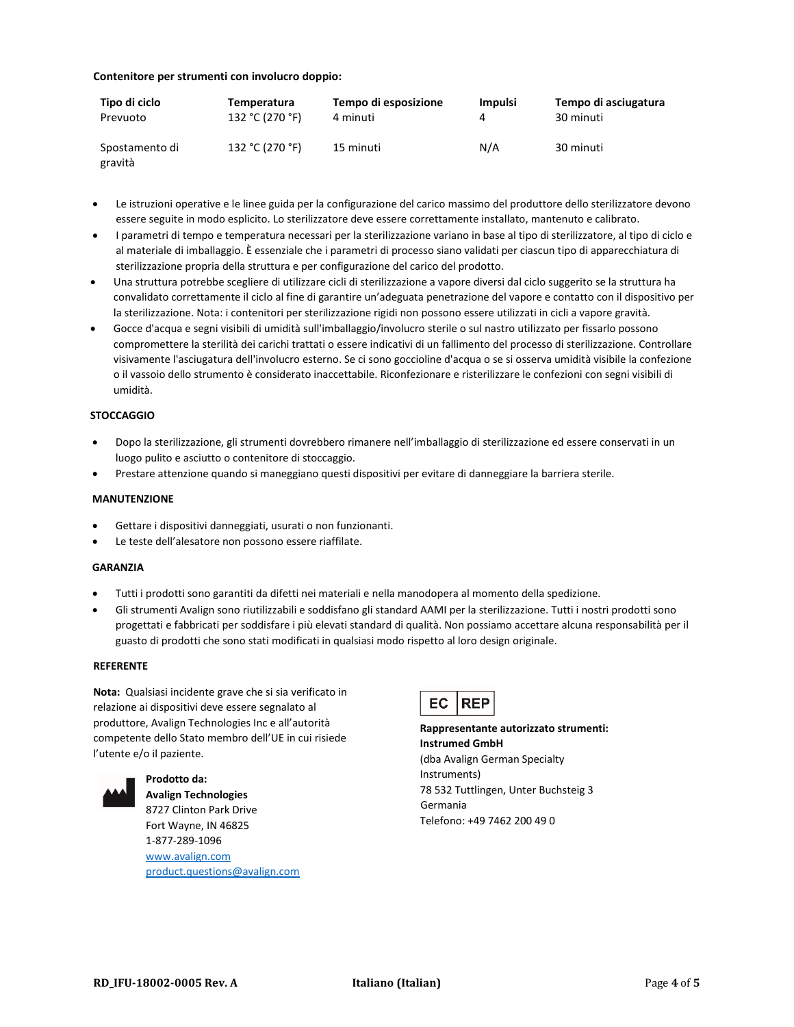#### **Contenitore per strumenti con involucro doppio:**

| Tipo di ciclo             | Temperatura     | Tempo di esposizione | <b>Impulsi</b> | Tempo di asciugatura |
|---------------------------|-----------------|----------------------|----------------|----------------------|
| Prevuoto                  | 132 °C (270 °F) | 4 minuti             |                | 30 minuti            |
| Spostamento di<br>gravità | 132 °C (270 °F) | 15 minuti            | N/A            | 30 minuti            |

- Le istruzioni operative e le linee guida per la configurazione del carico massimo del produttore dello sterilizzatore devono essere seguite in modo esplicito. Lo sterilizzatore deve essere correttamente installato, mantenuto e calibrato.
- I parametri di tempo e temperatura necessari per la sterilizzazione variano in base al tipo di sterilizzatore, al tipo di ciclo e al materiale di imballaggio. È essenziale che i parametri di processo siano validati per ciascun tipo di apparecchiatura di sterilizzazione propria della struttura e per configurazione del carico del prodotto.
- Una struttura potrebbe scegliere di utilizzare cicli di sterilizzazione a vapore diversi dal ciclo suggerito se la struttura ha convalidato correttamente il ciclo al fine di garantire un'adeguata penetrazione del vapore e contatto con il dispositivo per la sterilizzazione. Nota: i contenitori per sterilizzazione rigidi non possono essere utilizzati in cicli a vapore gravità.
- Gocce d'acqua e segni visibili di umidità sull'imballaggio/involucro sterile o sul nastro utilizzato per fissarlo possono compromettere la sterilità dei carichi trattati o essere indicativi di un fallimento del processo di sterilizzazione. Controllare visivamente l'asciugatura dell'involucro esterno. Se ci sono goccioline d'acqua o se si osserva umidità visibile la confezione o il vassoio dello strumento è considerato inaccettabile. Riconfezionare e risterilizzare le confezioni con segni visibili di umidità.

### **STOCCAGGIO**

- Dopo la sterilizzazione, gli strumenti dovrebbero rimanere nell'imballaggio di sterilizzazione ed essere conservati in un luogo pulito e asciutto o contenitore di stoccaggio.
- Prestare attenzione quando si maneggiano questi dispositivi per evitare di danneggiare la barriera sterile.

#### **MANUTENZIONE**

- Gettare i dispositivi danneggiati, usurati o non funzionanti.
- Le teste dell'alesatore non possono essere riaffilate.

#### **GARANZIA**

- Tutti i prodotti sono garantiti da difetti nei materiali e nella manodopera al momento della spedizione.
- Gli strumenti Avalign sono riutilizzabili e soddisfano gli standard AAMI per la sterilizzazione. Tutti i nostri prodotti sono progettati e fabbricati per soddisfare i più elevati standard di qualità. Non possiamo accettare alcuna responsabilità per il guasto di prodotti che sono stati modificati in qualsiasi modo rispetto al loro design originale.

#### **REFERENTE**

**Nota:** Qualsiasi incidente grave che si sia verificato in relazione ai dispositivi deve essere segnalato al produttore, Avalign Technologies Inc e all'autorità competente dello Stato membro dell'UE in cui risiede l'utente e/o il paziente.



**Prodotto da: Avalign Technologies**

8727 Clinton Park Drive Fort Wayne, IN 46825 1-877-289-1096 [www.avalign.com](http://www.avalign.com/) [product.questions@avalign.com](mailto:product.questions@avalign.com)



**Rappresentante autorizzato strumenti: Instrumed GmbH** (dba Avalign German Specialty Instruments) 78 532 Tuttlingen, Unter Buchsteig 3 Germania Telefono: +49 7462 200 49 0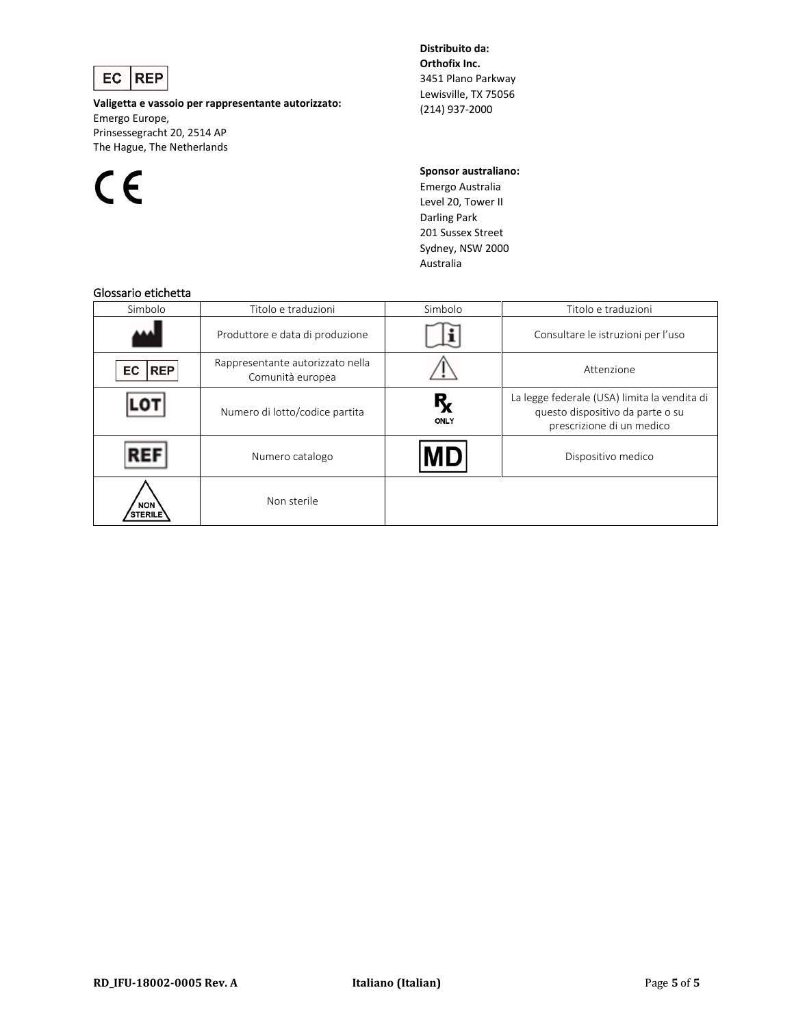

**Valigetta e vassoio per rappresentante autorizzato:** Emergo Europe, Prinsessegracht 20, 2514 AP The Hague, The Netherlands



**Distribuito da: Orthofix Inc.** 3451 Plano Parkway Lewisville, TX 75056 (214) 937-2000

**Sponsor australiano:**

Emergo Australia Level 20, Tower II Darling Park 201 Sussex Street Sydney, NSW 2000 Australia

## Glossario etichetta

| שוטטווט כנוטווכננט           |                                                      |                 |                                                                                                               |
|------------------------------|------------------------------------------------------|-----------------|---------------------------------------------------------------------------------------------------------------|
| Simbolo                      | Titolo e traduzioni                                  | Simbolo         | Titolo e traduzioni                                                                                           |
|                              | Produttore e data di produzione                      |                 | Consultare le istruzioni per l'uso                                                                            |
| <b>REP</b><br>EC             | Rappresentante autorizzato nella<br>Comunità europea |                 | Attenzione                                                                                                    |
|                              | Numero di lotto/codice partita                       | $R_{x}$<br>ONLY | La legge federale (USA) limita la vendita di<br>questo dispositivo da parte o su<br>prescrizione di un medico |
| REI                          | Numero catalogo                                      | MD              | Dispositivo medico                                                                                            |
| <b>NON</b><br><b>STERILE</b> | Non sterile                                          |                 |                                                                                                               |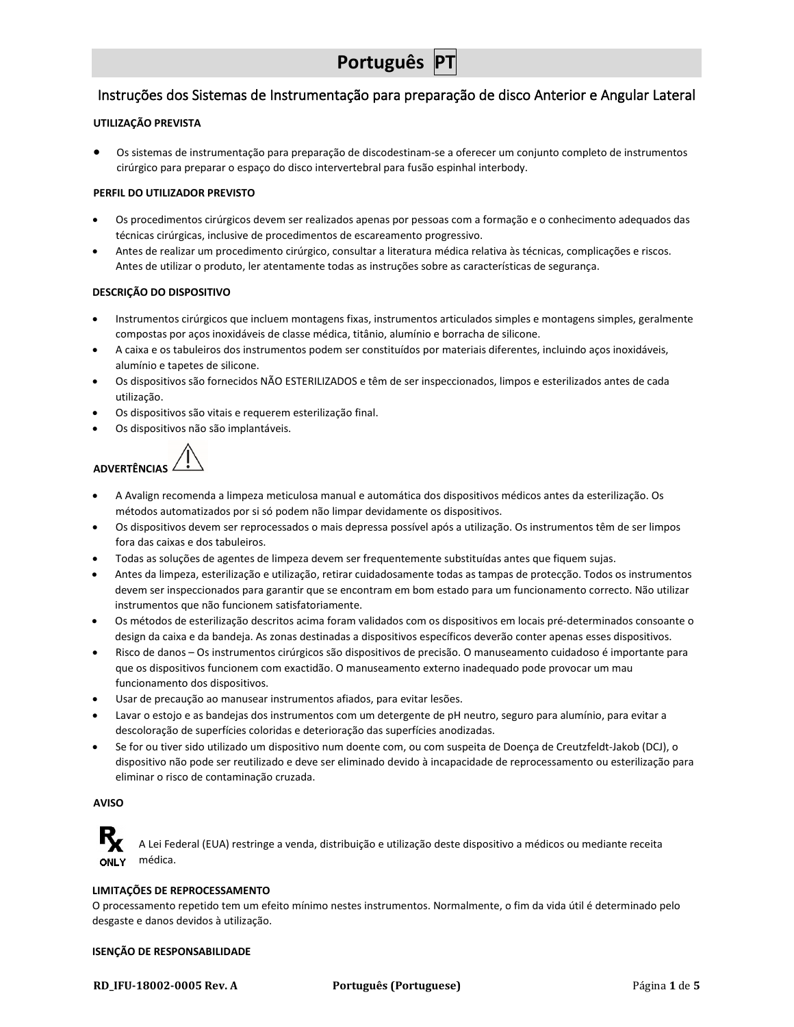# <span id="page-20-0"></span>Instruções dos Sistemas de Instrumentação para preparação de disco Anterior e Angular Lateral

### **UTILIZAÇÃO PREVISTA**

• Os sistemas de instrumentação para preparação de discodestinam-se a oferecer um conjunto completo de instrumentos cirúrgico para preparar o espaço do disco intervertebral para fusão espinhal interbody.

#### **PERFIL DO UTILIZADOR PREVISTO**

- Os procedimentos cirúrgicos devem ser realizados apenas por pessoas com a formação e o conhecimento adequados das técnicas cirúrgicas, inclusive de procedimentos de escareamento progressivo.
- Antes de realizar um procedimento cirúrgico, consultar a literatura médica relativa às técnicas, complicações e riscos. Antes de utilizar o produto, ler atentamente todas as instruções sobre as características de segurança.

#### **DESCRIÇÃO DO DISPOSITIVO**

- Instrumentos cirúrgicos que incluem montagens fixas, instrumentos articulados simples e montagens simples, geralmente compostas por aços inoxidáveis de classe médica, titânio, alumínio e borracha de silicone.
- A caixa e os tabuleiros dos instrumentos podem ser constituídos por materiais diferentes, incluindo aços inoxidáveis, alumínio e tapetes de silicone.
- Os dispositivos são fornecidos NÃO ESTERILIZADOS e têm de ser inspeccionados, limpos e esterilizados antes de cada utilização.
- Os dispositivos são vitais e requerem esterilização final.
- Os dispositivos não são implantáveis.

**ADVERTÊNCIAS**

- A Avalign recomenda a limpeza meticulosa manual e automática dos dispositivos médicos antes da esterilização. Os métodos automatizados por si só podem não limpar devidamente os dispositivos.
- Os dispositivos devem ser reprocessados o mais depressa possível após a utilização. Os instrumentos têm de ser limpos fora das caixas e dos tabuleiros.
- Todas as soluções de agentes de limpeza devem ser frequentemente substituídas antes que fiquem sujas.
- Antes da limpeza, esterilização e utilização, retirar cuidadosamente todas as tampas de protecção. Todos os instrumentos devem ser inspeccionados para garantir que se encontram em bom estado para um funcionamento correcto. Não utilizar instrumentos que não funcionem satisfatoriamente.
- Os métodos de esterilização descritos acima foram validados com os dispositivos em locais pré-determinados consoante o design da caixa e da bandeja. As zonas destinadas a dispositivos específicos deverão conter apenas esses dispositivos.
- Risco de danos Os instrumentos cirúrgicos são dispositivos de precisão. O manuseamento cuidadoso é importante para que os dispositivos funcionem com exactidão. O manuseamento externo inadequado pode provocar um mau funcionamento dos dispositivos.
- Usar de precaução ao manusear instrumentos afiados, para evitar lesões.
- Lavar o estojo e as bandejas dos instrumentos com um detergente de pH neutro, seguro para alumínio, para evitar a descoloração de superfícies coloridas e deterioração das superfícies anodizadas.
- Se for ou tiver sido utilizado um dispositivo num doente com, ou com suspeita de Doença de Creutzfeldt-Jakob (DCJ), o dispositivo não pode ser reutilizado e deve ser eliminado devido à incapacidade de reprocessamento ou esterilização para eliminar o risco de contaminação cruzada.

#### **AVISO**

A Lei Federal (EUA) restringe a venda, distribuição e utilização deste dispositivo a médicos ou mediante receita ONI Y médica.

#### **LIMITAÇÕES DE REPROCESSAMENTO**

O processamento repetido tem um efeito mínimo nestes instrumentos. Normalmente, o fim da vida útil é determinado pelo desgaste e danos devidos à utilização.

#### **ISENÇÃO DE RESPONSABILIDADE**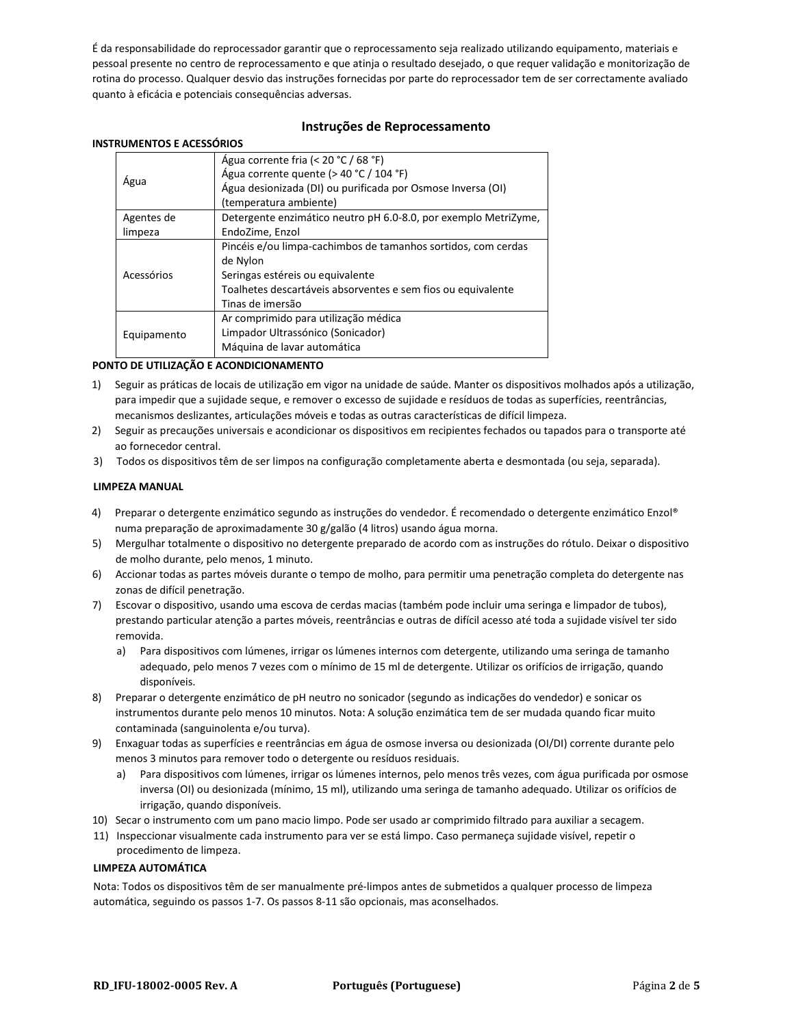É da responsabilidade do reprocessador garantir que o reprocessamento seja realizado utilizando equipamento, materiais e pessoal presente no centro de reprocessamento e que atinja o resultado desejado, o que requer validação e monitorização de rotina do processo. Qualquer desvio das instruções fornecidas por parte do reprocessador tem de ser correctamente avaliado quanto à eficácia e potenciais consequências adversas.

### **Instruções de Reprocessamento**

#### **INSTRUMENTOS E ACESSÓRIOS**

|             | Agua corrente fria (< 20 °C / 68 °F)                            |  |
|-------------|-----------------------------------------------------------------|--|
|             | Água corrente quente (> 40 °C / 104 °F)                         |  |
| Agua        | Água desionizada (DI) ou purificada por Osmose Inversa (OI)     |  |
|             | (temperatura ambiente)                                          |  |
| Agentes de  | Detergente enzimático neutro pH 6.0-8.0, por exemplo MetriZyme, |  |
| limpeza     | EndoZime, Enzol                                                 |  |
|             | Pincéis e/ou limpa-cachimbos de tamanhos sortidos, com cerdas   |  |
| Acessórios  | de Nylon                                                        |  |
|             | Seringas estéreis ou equivalente                                |  |
|             | Toalhetes descartáveis absorventes e sem fios ou equivalente    |  |
|             | Tinas de imersão                                                |  |
|             | Ar comprimido para utilização médica                            |  |
| Equipamento | Limpador Ultrassónico (Sonicador)                               |  |
|             | Máquina de lavar automática                                     |  |

#### **PONTO DE UTILIZAÇÃO E ACONDICIONAMENTO**

- 1) Seguir as práticas de locais de utilização em vigor na unidade de saúde. Manter os dispositivos molhados após a utilização, para impedir que a sujidade seque, e remover o excesso de sujidade e resíduos de todas as superfícies, reentrâncias, mecanismos deslizantes, articulações móveis e todas as outras características de difícil limpeza.
- 2) Seguir as precauções universais e acondicionar os dispositivos em recipientes fechados ou tapados para o transporte até ao fornecedor central.
- 3) Todos os dispositivos têm de ser limpos na configuração completamente aberta e desmontada (ou seja, separada).

#### **LIMPEZA MANUAL**

- 4) Preparar o detergente enzimático segundo as instruções do vendedor. É recomendado o detergente enzimático Enzol® numa preparação de aproximadamente 30 g/galão (4 litros) usando água morna.
- 5) Mergulhar totalmente o dispositivo no detergente preparado de acordo com as instruções do rótulo. Deixar o dispositivo de molho durante, pelo menos, 1 minuto.
- 6) Accionar todas as partes móveis durante o tempo de molho, para permitir uma penetração completa do detergente nas zonas de difícil penetração.
- 7) Escovar o dispositivo, usando uma escova de cerdas macias (também pode incluir uma seringa e limpador de tubos), prestando particular atenção a partes móveis, reentrâncias e outras de difícil acesso até toda a sujidade visível ter sido removida.
	- a) Para dispositivos com lúmenes, irrigar os lúmenes internos com detergente, utilizando uma seringa de tamanho adequado, pelo menos 7 vezes com o mínimo de 15 ml de detergente. Utilizar os orifícios de irrigação, quando disponíveis.
- 8) Preparar o detergente enzimático de pH neutro no sonicador (segundo as indicações do vendedor) e sonicar os instrumentos durante pelo menos 10 minutos. Nota: A solução enzimática tem de ser mudada quando ficar muito contaminada (sanguinolenta e/ou turva).
- 9) Enxaguar todas as superfícies e reentrâncias em água de osmose inversa ou desionizada (OI/DI) corrente durante pelo menos 3 minutos para remover todo o detergente ou resíduos residuais.
	- a) Para dispositivos com lúmenes, irrigar os lúmenes internos, pelo menos três vezes, com água purificada por osmose inversa (OI) ou desionizada (mínimo, 15 ml), utilizando uma seringa de tamanho adequado. Utilizar os orifícios de irrigação, quando disponíveis.
- 10) Secar o instrumento com um pano macio limpo. Pode ser usado ar comprimido filtrado para auxiliar a secagem.
- 11) Inspeccionar visualmente cada instrumento para ver se está limpo. Caso permaneça sujidade visível, repetir o procedimento de limpeza.

#### **LIMPEZA AUTOMÁTICA**

Nota: Todos os dispositivos têm de ser manualmente pré-limpos antes de submetidos a qualquer processo de limpeza automática, seguindo os passos 1-7. Os passos 8-11 são opcionais, mas aconselhados.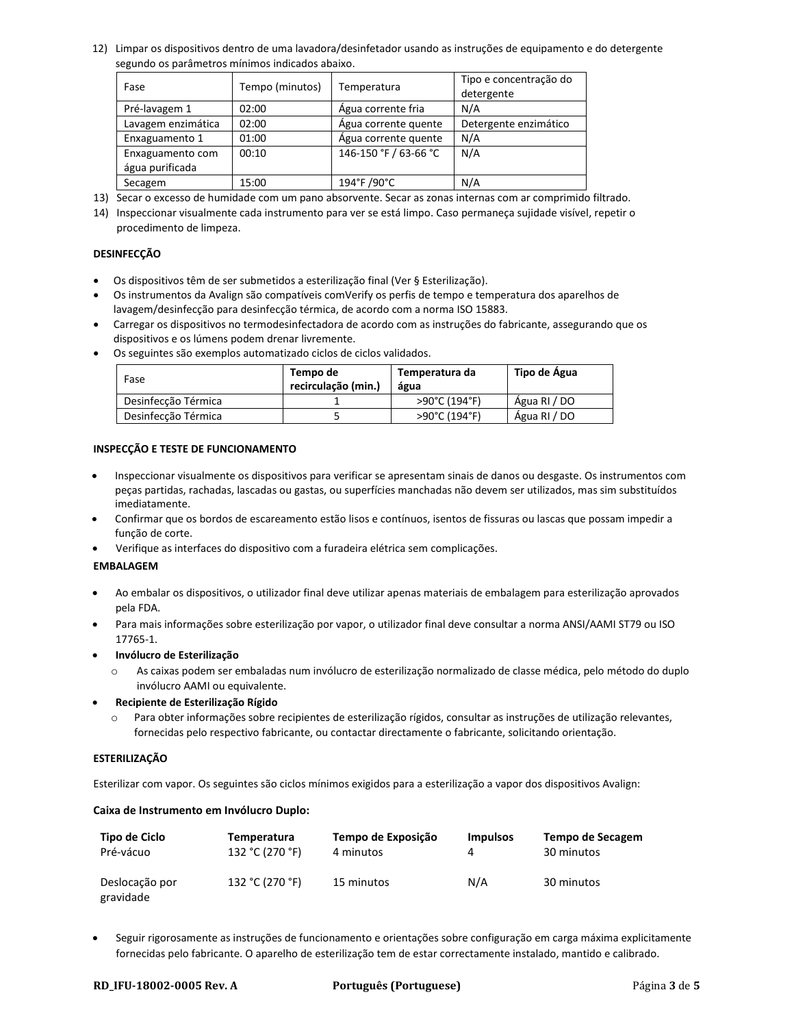12) Limpar os dispositivos dentro de uma lavadora/desinfetador usando as instruções de equipamento e do detergente segundo os parâmetros mínimos indicados abaixo.

| Fase               | Tempo (minutos) | Temperatura           | Tipo e concentração do<br>detergente |
|--------------------|-----------------|-----------------------|--------------------------------------|
| Pré-lavagem 1      | 02:00           | Agua corrente fria    | N/A                                  |
| Lavagem enzimática | 02:00           | Agua corrente quente  | Detergente enzimático                |
| Enxaguamento 1     | 01:00           | Agua corrente quente  | N/A                                  |
| Enxaguamento com   | 00:10           | 146-150 °F / 63-66 °C | N/A                                  |
| água purificada    |                 |                       |                                      |
| Secagem            | 15:00           | 194°F /90°C           | N/A                                  |

13) Secar o excesso de humidade com um pano absorvente. Secar as zonas internas com ar comprimido filtrado.

14) Inspeccionar visualmente cada instrumento para ver se está limpo. Caso permaneça sujidade visível, repetir o procedimento de limpeza.

#### **DESINFECÇÃO**

- Os dispositivos têm de ser submetidos a esterilização final (Ver § Esterilização).
- Os instrumentos da Avalign são compatíveis comVerify os perfis de tempo e temperatura dos aparelhos de lavagem/desinfecção para desinfecção térmica, de acordo com a norma ISO 15883.
- Carregar os dispositivos no termodesinfectadora de acordo com as instruções do fabricante, assegurando que os dispositivos e os lúmens podem drenar livremente.
- Os seguintes são exemplos automatizado ciclos de ciclos validados.

| Fase                | Tempo de<br>recirculação (min.) | Temperatura da<br>água | Tipo de Água |
|---------------------|---------------------------------|------------------------|--------------|
| Desinfecção Térmica |                                 | >90°C (194°F)          | Agua RI / DO |
| Desinfecção Térmica |                                 | >90°C (194°F)          | Água RI / DO |

#### **INSPECÇÃO E TESTE DE FUNCIONAMENTO**

- Inspeccionar visualmente os dispositivos para verificar se apresentam sinais de danos ou desgaste. Os instrumentos com peças partidas, rachadas, lascadas ou gastas, ou superfícies manchadas não devem ser utilizados, mas sim substituídos imediatamente.
- Confirmar que os bordos de escareamento estão lisos e contínuos, isentos de fissuras ou lascas que possam impedir a função de corte.
- Verifique as interfaces do dispositivo com a furadeira elétrica sem complicações.

#### **EMBALAGEM**

- Ao embalar os dispositivos, o utilizador final deve utilizar apenas materiais de embalagem para esterilização aprovados pela FDA.
- Para mais informações sobre esterilização por vapor, o utilizador final deve consultar a norma ANSI/AAMI ST79 ou ISO 17765-1.
- **Invólucro de Esterilização**
	- o As caixas podem ser embaladas num invólucro de esterilização normalizado de classe médica, pelo método do duplo invólucro AAMI ou equivalente.
- **Recipiente de Esterilização Rígido**
	- o Para obter informações sobre recipientes de esterilização rígidos, consultar as instruções de utilização relevantes, fornecidas pelo respectivo fabricante, ou contactar directamente o fabricante, solicitando orientação.

#### **ESTERILIZAÇÃO**

Esterilizar com vapor. Os seguintes são ciclos mínimos exigidos para a esterilização a vapor dos dispositivos Avalign:

#### **Caixa de Instrumento em Invólucro Duplo:**

| Tipo de Ciclo               | Temperatura     | Tempo de Exposição | <b>Impulsos</b> | Tempo de Secagem |
|-----------------------------|-----------------|--------------------|-----------------|------------------|
| Pré-vácuo                   | 132 °C (270 °F) | 4 minutos          |                 | 30 minutos       |
| Deslocação por<br>gravidade | 132 °C (270 °F) | 15 minutos         | N/A             | 30 minutos       |

• Seguir rigorosamente as instruções de funcionamento e orientações sobre configuração em carga máxima explicitamente fornecidas pelo fabricante. O aparelho de esterilização tem de estar correctamente instalado, mantido e calibrado.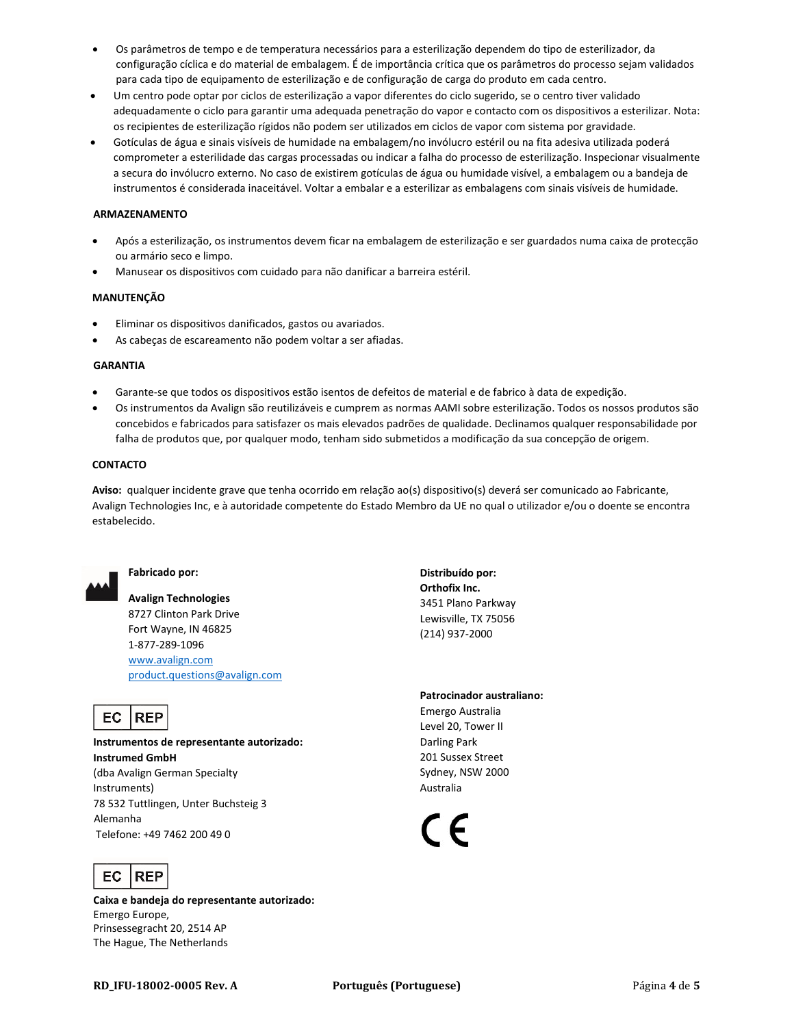- Os parâmetros de tempo e de temperatura necessários para a esterilização dependem do tipo de esterilizador, da configuração cíclica e do material de embalagem. É de importância crítica que os parâmetros do processo sejam validados para cada tipo de equipamento de esterilização e de configuração de carga do produto em cada centro.
- Um centro pode optar por ciclos de esterilização a vapor diferentes do ciclo sugerido, se o centro tiver validado adequadamente o ciclo para garantir uma adequada penetração do vapor e contacto com os dispositivos a esterilizar. Nota: os recipientes de esterilização rígidos não podem ser utilizados em ciclos de vapor com sistema por gravidade.
- Gotículas de água e sinais visíveis de humidade na embalagem/no invólucro estéril ou na fita adesiva utilizada poderá comprometer a esterilidade das cargas processadas ou indicar a falha do processo de esterilização. Inspecionar visualmente a secura do invólucro externo. No caso de existirem gotículas de água ou humidade visível, a embalagem ou a bandeja de instrumentos é considerada inaceitável. Voltar a embalar e a esterilizar as embalagens com sinais visíveis de humidade.

#### **ARMAZENAMENTO**

- Após a esterilização, os instrumentos devem ficar na embalagem de esterilização e ser guardados numa caixa de protecção ou armário seco e limpo.
- Manusear os dispositivos com cuidado para não danificar a barreira estéril.

#### **MANUTENÇÃO**

- Eliminar os dispositivos danificados, gastos ou avariados.
- As cabeças de escareamento não podem voltar a ser afiadas.

#### **GARANTIA**

- Garante-se que todos os dispositivos estão isentos de defeitos de material e de fabrico à data de expedição.
- Os instrumentos da Avalign são reutilizáveis e cumprem as normas AAMI sobre esterilização. Todos os nossos produtos são concebidos e fabricados para satisfazer os mais elevados padrões de qualidade. Declinamos qualquer responsabilidade por falha de produtos que, por qualquer modo, tenham sido submetidos a modificação da sua concepção de origem.

#### **CONTACTO**

**Aviso:** qualquer incidente grave que tenha ocorrido em relação ao(s) dispositivo(s) deverá ser comunicado ao Fabricante, Avalign Technologies Inc, e à autoridade competente do Estado Membro da UE no qual o utilizador e/ou o doente se encontra estabelecido.



#### **Fabricado por:**

**Avalign Technologies** 8727 Clinton Park Drive Fort Wayne, IN 46825 1-877-289-1096 [www.avalign.com](http://www.avalign.com/) [product.questions@avalign.com](mailto:product.questions@avalign.com)

#### EC **REP**

**Instrumentos de representante autorizado: Instrumed GmbH** (dba Avalign German Specialty Instruments) 78 532 Tuttlingen, Unter Buchsteig 3 Alemanha Telefone: +49 7462 200 49 0



**Caixa e bandeja do representante autorizado:** Emergo Europe, Prinsessegracht 20, 2514 AP The Hague, The Netherlands

**Distribuído por: Orthofix Inc.** 3451 Plano Parkway Lewisville, TX 75056 (214) 937-2000

#### **Patrocinador australiano:**

Emergo Australia Level 20, Tower II Darling Park 201 Sussex Street Sydney, NSW 2000 Australia

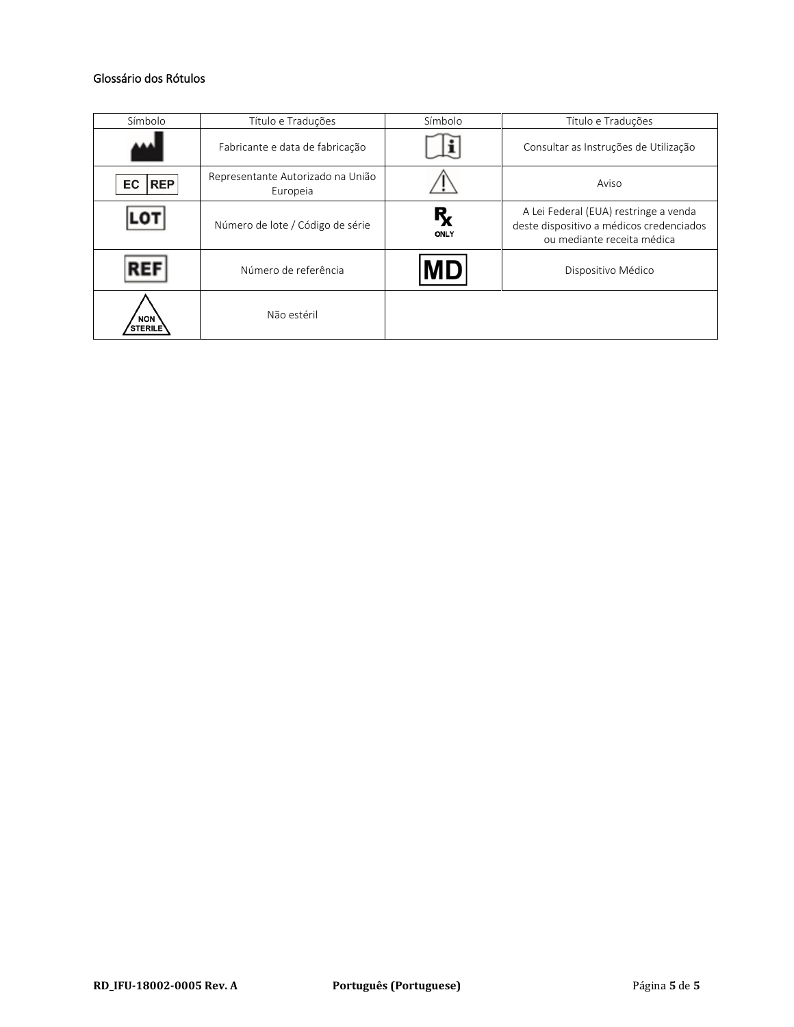# Glossário dos Rótulos

| Símbolo                      | Título e Traduções                            | Símbolo    | Título e Traduções                                                                                              |
|------------------------------|-----------------------------------------------|------------|-----------------------------------------------------------------------------------------------------------------|
|                              | Fabricante e data de fabricação               |            | Consultar as Instruções de Utilização                                                                           |
| <b>REP</b><br>EC             | Representante Autorizado na União<br>Europeia |            | Aviso                                                                                                           |
|                              | Número de lote / Código de série              | R,<br>ONLY | A Lei Federal (EUA) restringe a venda<br>deste dispositivo a médicos credenciados<br>ou mediante receita médica |
| REI                          | Número de referência                          | MD         | Dispositivo Médico                                                                                              |
| <b>NON</b><br><b>STERILE</b> | Não estéril                                   |            |                                                                                                                 |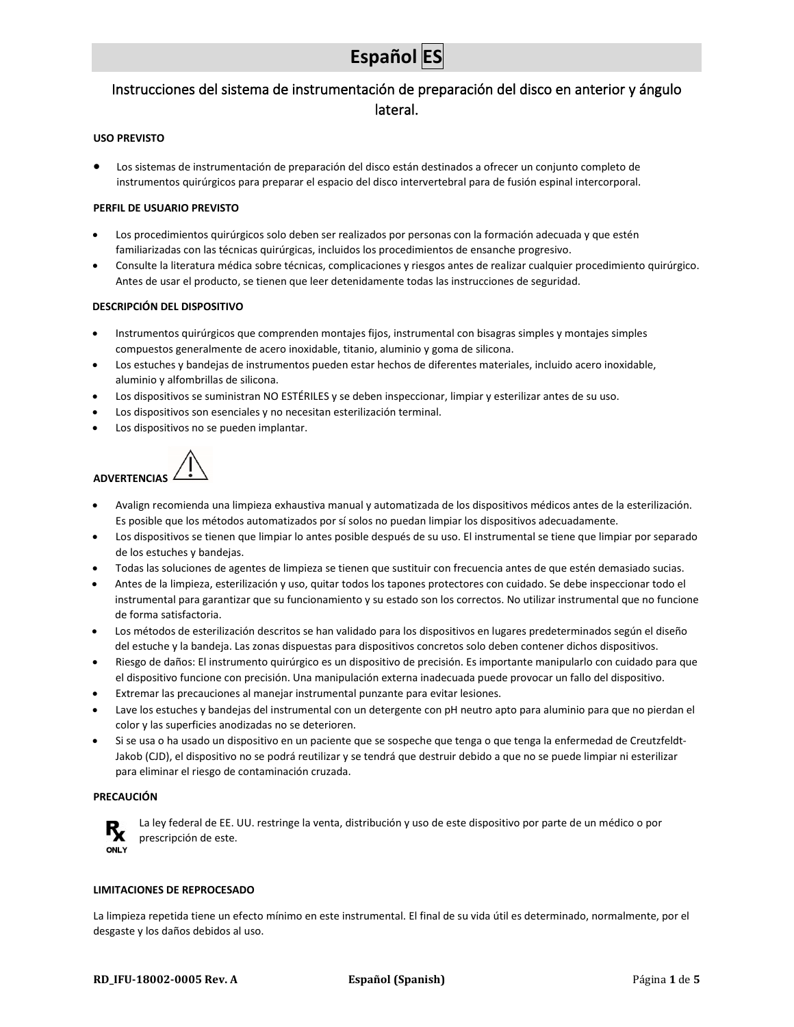# <span id="page-25-0"></span>Instrucciones del sistema de instrumentación de preparación del disco en anterior y ángulo lateral.

#### **USO PREVISTO**

• Los sistemas de instrumentación de preparación del disco están destinados a ofrecer un conjunto completo de instrumentos quirúrgicos para preparar el espacio del disco intervertebral para de fusión espinal intercorporal.

#### **PERFIL DE USUARIO PREVISTO**

- Los procedimientos quirúrgicos solo deben ser realizados por personas con la formación adecuada y que estén familiarizadas con las técnicas quirúrgicas, incluidos los procedimientos de ensanche progresivo.
- Consulte la literatura médica sobre técnicas, complicaciones y riesgos antes de realizar cualquier procedimiento quirúrgico. Antes de usar el producto, se tienen que leer detenidamente todas las instrucciones de seguridad.

#### **DESCRIPCIÓN DEL DISPOSITIVO**

- Instrumentos quirúrgicos que comprenden montajes fijos, instrumental con bisagras simples y montajes simples compuestos generalmente de acero inoxidable, titanio, aluminio y goma de silicona.
- Los estuches y bandejas de instrumentos pueden estar hechos de diferentes materiales, incluido acero inoxidable, aluminio y alfombrillas de silicona.
- Los dispositivos se suministran NO ESTÉRILES y se deben inspeccionar, limpiar y esterilizar antes de su uso.
- Los dispositivos son esenciales y no necesitan esterilización terminal.
- Los dispositivos no se pueden implantar.



- Avalign recomienda una limpieza exhaustiva manual y automatizada de los dispositivos médicos antes de la esterilización. Es posible que los métodos automatizados por sí solos no puedan limpiar los dispositivos adecuadamente.
- Los dispositivos se tienen que limpiar lo antes posible después de su uso. El instrumental se tiene que limpiar por separado de los estuches y bandejas.
- Todas las soluciones de agentes de limpieza se tienen que sustituir con frecuencia antes de que estén demasiado sucias.
- Antes de la limpieza, esterilización y uso, quitar todos los tapones protectores con cuidado. Se debe inspeccionar todo el instrumental para garantizar que su funcionamiento y su estado son los correctos. No utilizar instrumental que no funcione de forma satisfactoria.
- Los métodos de esterilización descritos se han validado para los dispositivos en lugares predeterminados según el diseño del estuche y la bandeja. Las zonas dispuestas para dispositivos concretos solo deben contener dichos dispositivos.
- Riesgo de daños: El instrumento quirúrgico es un dispositivo de precisión. Es importante manipularlo con cuidado para que el dispositivo funcione con precisión. Una manipulación externa inadecuada puede provocar un fallo del dispositivo.
- Extremar las precauciones al manejar instrumental punzante para evitar lesiones.
- Lave los estuches y bandejas del instrumental con un detergente con pH neutro apto para aluminio para que no pierdan el color y las superficies anodizadas no se deterioren.
- Si se usa o ha usado un dispositivo en un paciente que se sospeche que tenga o que tenga la enfermedad de Creutzfeldt-Jakob (CJD), el dispositivo no se podrá reutilizar y se tendrá que destruir debido a que no se puede limpiar ni esterilizar para eliminar el riesgo de contaminación cruzada.

#### **PRECAUCIÓN**



La ley federal de EE. UU. restringe la venta, distribución y uso de este dispositivo por parte de un médico o por prescripción de este.

#### **LIMITACIONES DE REPROCESADO**

La limpieza repetida tiene un efecto mínimo en este instrumental. El final de su vida útil es determinado, normalmente, por el desgaste y los daños debidos al uso.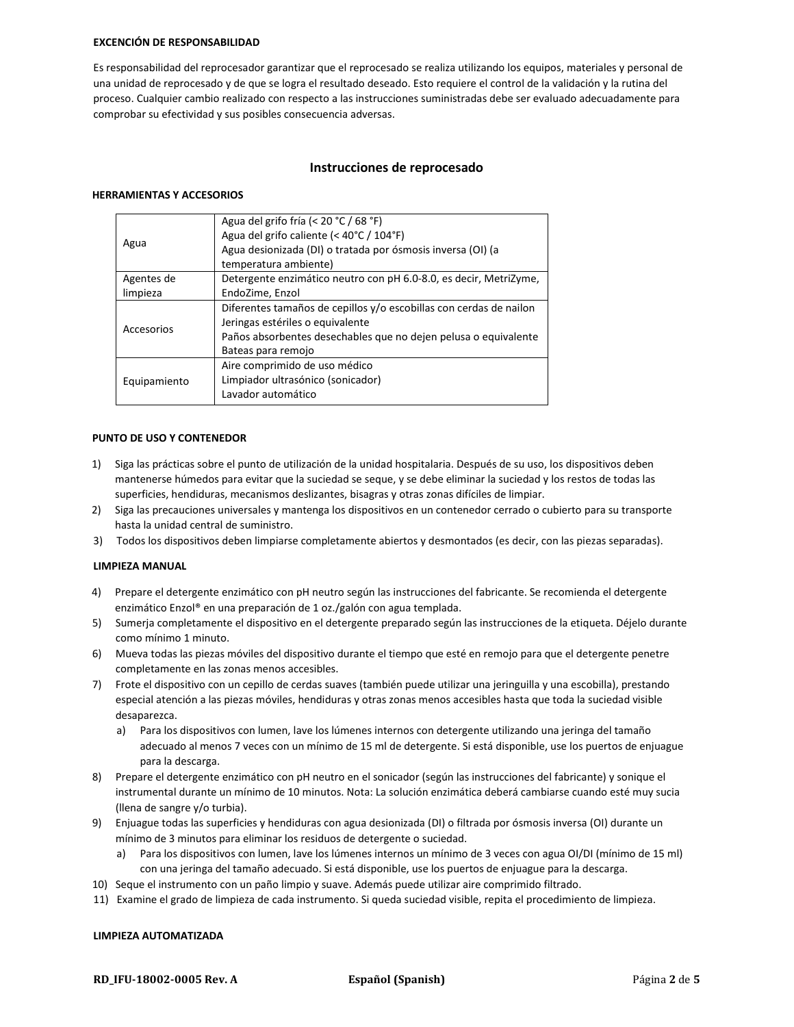#### **EXCENCIÓN DE RESPONSABILIDAD**

Es responsabilidad del reprocesador garantizar que el reprocesado se realiza utilizando los equipos, materiales y personal de una unidad de reprocesado y de que se logra el resultado deseado. Esto requiere el control de la validación y la rutina del proceso. Cualquier cambio realizado con respecto a las instrucciones suministradas debe ser evaluado adecuadamente para comprobar su efectividad y sus posibles consecuencia adversas.

#### **Instrucciones de reprocesado**

#### **HERRAMIENTAS Y ACCESORIOS**

| Agua del grifo fría (< 20 °C / 68 °F)<br>Agua del grifo caliente (< 40°C / 104°F) |  |  |
|-----------------------------------------------------------------------------------|--|--|
| Agua desionizada (DI) o tratada por ósmosis inversa (OI) (a                       |  |  |
| temperatura ambiente)                                                             |  |  |
| Detergente enzimático neutro con pH 6.0-8.0, es decir, MetriZyme,                 |  |  |
| EndoZime, Enzol                                                                   |  |  |
| Diferentes tamaños de cepillos y/o escobillas con cerdas de nailon                |  |  |
| Jeringas estériles o equivalente                                                  |  |  |
| Paños absorbentes desechables que no dejen pelusa o equivalente                   |  |  |
| Bateas para remojo                                                                |  |  |
| Aire comprimido de uso médico                                                     |  |  |
| Limpiador ultrasónico (sonicador)                                                 |  |  |
| Lavador automático                                                                |  |  |
|                                                                                   |  |  |

#### **PUNTO DE USO Y CONTENEDOR**

- 1) Siga las prácticas sobre el punto de utilización de la unidad hospitalaria. Después de su uso, los dispositivos deben mantenerse húmedos para evitar que la suciedad se seque, y se debe eliminar la suciedad y los restos de todas las superficies, hendiduras, mecanismos deslizantes, bisagras y otras zonas difíciles de limpiar.
- 2) Siga las precauciones universales y mantenga los dispositivos en un contenedor cerrado o cubierto para su transporte hasta la unidad central de suministro.
- 3) Todos los dispositivos deben limpiarse completamente abiertos y desmontados (es decir, con las piezas separadas).

#### **LIMPIEZA MANUAL**

- 4) Prepare el detergente enzimático con pH neutro según las instrucciones del fabricante. Se recomienda el detergente enzimático Enzol® en una preparación de 1 oz./galón con agua templada.
- 5) Sumerja completamente el dispositivo en el detergente preparado según las instrucciones de la etiqueta. Déjelo durante como mínimo 1 minuto.
- 6) Mueva todas las piezas móviles del dispositivo durante el tiempo que esté en remojo para que el detergente penetre completamente en las zonas menos accesibles.
- 7) Frote el dispositivo con un cepillo de cerdas suaves (también puede utilizar una jeringuilla y una escobilla), prestando especial atención a las piezas móviles, hendiduras y otras zonas menos accesibles hasta que toda la suciedad visible desaparezca.
	- a) Para los dispositivos con lumen, lave los lúmenes internos con detergente utilizando una jeringa del tamaño adecuado al menos 7 veces con un mínimo de 15 ml de detergente. Si está disponible, use los puertos de enjuague para la descarga.
- 8) Prepare el detergente enzimático con pH neutro en el sonicador (según las instrucciones del fabricante) y sonique el instrumental durante un mínimo de 10 minutos. Nota: La solución enzimática deberá cambiarse cuando esté muy sucia (llena de sangre y/o turbia).
- 9) Enjuague todas las superficies y hendiduras con agua desionizada (DI) o filtrada por ósmosis inversa (OI) durante un mínimo de 3 minutos para eliminar los residuos de detergente o suciedad.
	- a) Para los dispositivos con lumen, lave los lúmenes internos un mínimo de 3 veces con agua OI/DI (mínimo de 15 ml) con una jeringa del tamaño adecuado. Si está disponible, use los puertos de enjuague para la descarga.
- 10) Seque el instrumento con un paño limpio y suave. Además puede utilizar aire comprimido filtrado.
- 11) Examine el grado de limpieza de cada instrumento. Si queda suciedad visible, repita el procedimiento de limpieza.

#### **LIMPIEZA AUTOMATIZADA**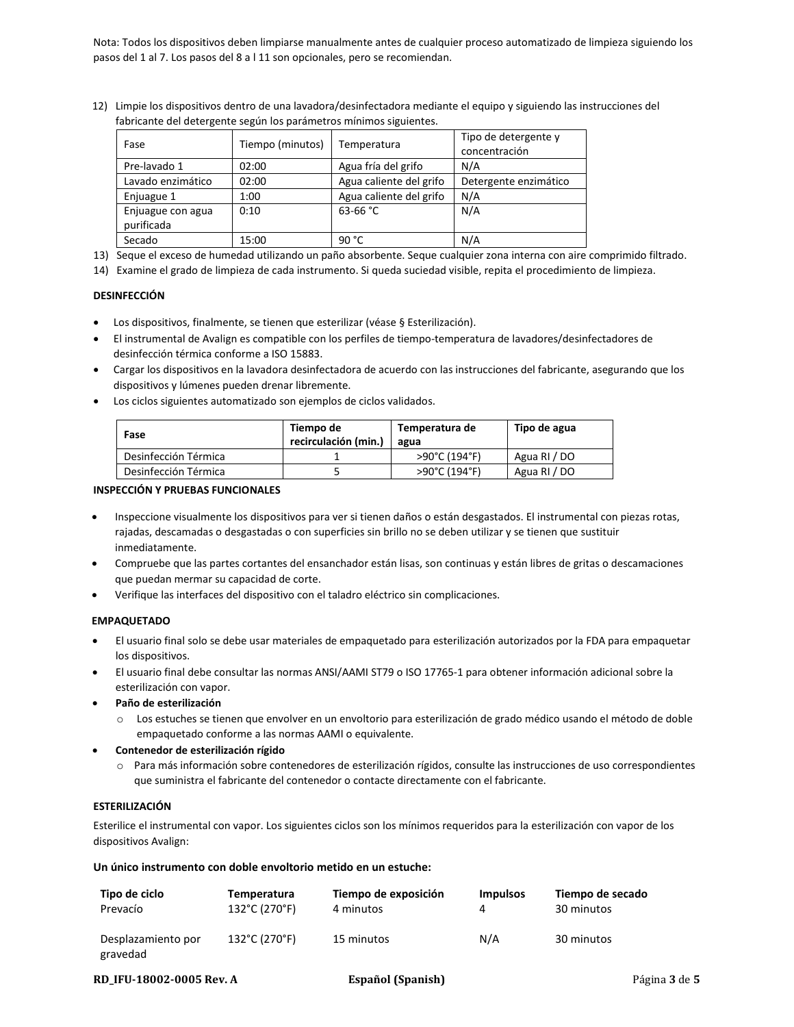Nota: Todos los dispositivos deben limpiarse manualmente antes de cualquier proceso automatizado de limpieza siguiendo los pasos del 1 al 7. Los pasos del 8 a l 11 son opcionales, pero se recomiendan.

12) Limpie los dispositivos dentro de una lavadora/desinfectadora mediante el equipo y siguiendo las instrucciones del fabricante del detergente según los parámetros mínimos siguientes.

| Fase                            | Tiempo (minutos) | Temperatura             | Tipo de detergente y<br>concentración |
|---------------------------------|------------------|-------------------------|---------------------------------------|
| Pre-lavado 1                    | 02:00            | Agua fría del grifo     | N/A                                   |
| Lavado enzimático               | 02:00            | Agua caliente del grifo | Detergente enzimático                 |
| Enjuague 1                      | 1:00             | Agua caliente del grifo | N/A                                   |
| Enjuague con agua<br>purificada | 0:10             | 63-66 $°C$              | N/A                                   |
| Secado                          | 15:00            | 90 °C                   | N/A                                   |

13) Seque el exceso de humedad utilizando un paño absorbente. Seque cualquier zona interna con aire comprimido filtrado.

14) Examine el grado de limpieza de cada instrumento. Si queda suciedad visible, repita el procedimiento de limpieza.

#### **DESINFECCIÓN**

- Los dispositivos, finalmente, se tienen que esterilizar (véase § Esterilización).
- El instrumental de Avalign es compatible con los perfiles de tiempo-temperatura de lavadores/desinfectadores de desinfección térmica conforme a ISO 15883.
- Cargar los dispositivos en la lavadora desinfectadora de acuerdo con las instrucciones del fabricante, asegurando que los dispositivos y lúmenes pueden drenar libremente.
- Los ciclos siguientes automatizado son ejemplos de ciclos validados.

| Fase                 | Tiempo de<br>recirculación (min.) | Temperatura de<br>agua | Tipo de agua |
|----------------------|-----------------------------------|------------------------|--------------|
| Desinfección Térmica |                                   | >90°C (194°F)          | Agua RI / DO |
| Desinfección Térmica |                                   | >90°C (194°F)          | Agua RI / DO |

#### **INSPECCIÓN Y PRUEBAS FUNCIONALES**

- Inspeccione visualmente los dispositivos para ver si tienen daños o están desgastados. El instrumental con piezas rotas, rajadas, descamadas o desgastadas o con superficies sin brillo no se deben utilizar y se tienen que sustituir inmediatamente.
- Compruebe que las partes cortantes del ensanchador están lisas, son continuas y están libres de gritas o descamaciones que puedan mermar su capacidad de corte.
- Verifique las interfaces del dispositivo con el taladro eléctrico sin complicaciones.

#### **EMPAQUETADO**

- El usuario final solo se debe usar materiales de empaquetado para esterilización autorizados por la FDA para empaquetar los dispositivos.
- El usuario final debe consultar las normas ANSI/AAMI ST79 o ISO 17765-1 para obtener información adicional sobre la esterilización con vapor.
- **Paño de esterilización**
	- o Los estuches se tienen que envolver en un envoltorio para esterilización de grado médico usando el método de doble empaquetado conforme a las normas AAMI o equivalente.
- **Contenedor de esterilización rígido**
	- o Para más información sobre contenedores de esterilización rígidos, consulte las instrucciones de uso correspondientes que suministra el fabricante del contenedor o contacte directamente con el fabricante.

#### **ESTERILIZACIÓN**

Esterilice el instrumental con vapor. Los siguientes ciclos son los mínimos requeridos para la esterilización con vapor de los dispositivos Avalign:

#### **Un único instrumento con doble envoltorio metido en un estuche:**

| Tipo de ciclo                  | Temperatura   | Tiempo de exposición | <b>Impulsos</b> | Tiempo de secado |
|--------------------------------|---------------|----------------------|-----------------|------------------|
| Prevacío                       | 132°C (270°F) | 4 minutos            |                 | 30 minutos       |
| Desplazamiento por<br>gravedad | 132°C (270°F) | 15 minutos           | N/A             | 30 minutos       |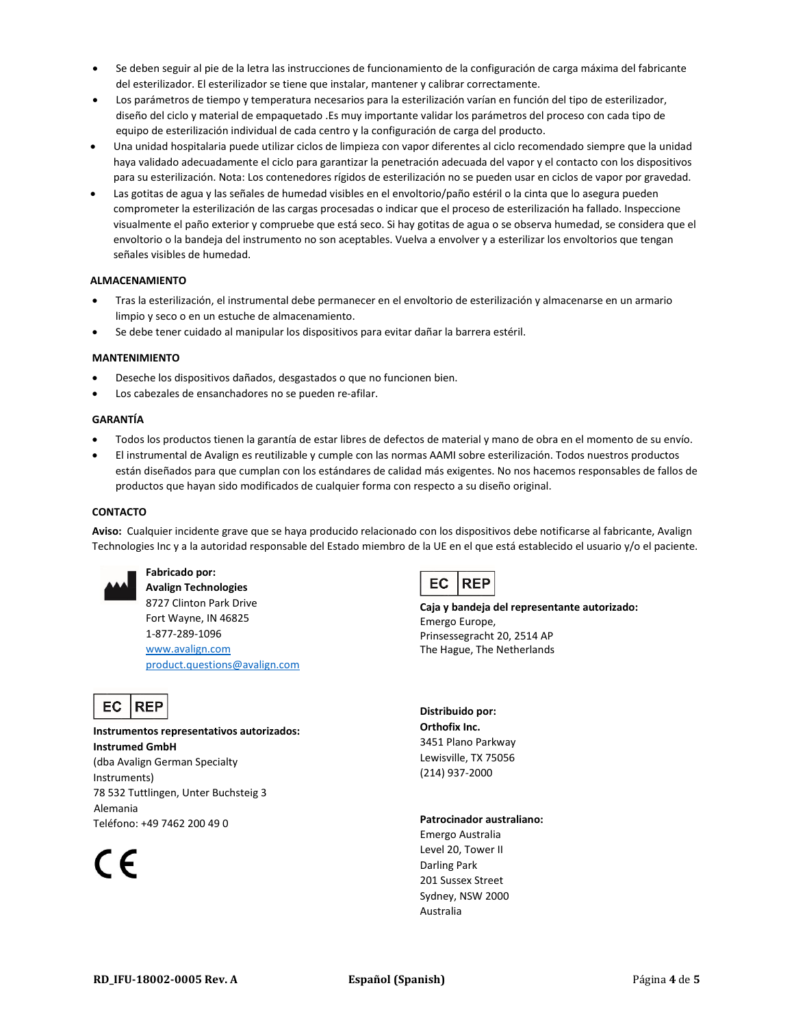- Se deben seguir al pie de la letra las instrucciones de funcionamiento de la configuración de carga máxima del fabricante del esterilizador. El esterilizador se tiene que instalar, mantener y calibrar correctamente.
- Los parámetros de tiempo y temperatura necesarios para la esterilización varían en función del tipo de esterilizador, diseño del ciclo y material de empaquetado .Es muy importante validar los parámetros del proceso con cada tipo de equipo de esterilización individual de cada centro y la configuración de carga del producto.
- Una unidad hospitalaria puede utilizar ciclos de limpieza con vapor diferentes al ciclo recomendado siempre que la unidad haya validado adecuadamente el ciclo para garantizar la penetración adecuada del vapor y el contacto con los dispositivos para su esterilización. Nota: Los contenedores rígidos de esterilización no se pueden usar en ciclos de vapor por gravedad.
- Las gotitas de agua y las señales de humedad visibles en el envoltorio/paño estéril o la cinta que lo asegura pueden comprometer la esterilización de las cargas procesadas o indicar que el proceso de esterilización ha fallado. Inspeccione visualmente el paño exterior y compruebe que está seco. Si hay gotitas de agua o se observa humedad, se considera que el envoltorio o la bandeja del instrumento no son aceptables. Vuelva a envolver y a esterilizar los envoltorios que tengan señales visibles de humedad.

#### **ALMACENAMIENTO**

- Tras la esterilización, el instrumental debe permanecer en el envoltorio de esterilización y almacenarse en un armario limpio y seco o en un estuche de almacenamiento.
- Se debe tener cuidado al manipular los dispositivos para evitar dañar la barrera estéril.

#### **MANTENIMIENTO**

- Deseche los dispositivos dañados, desgastados o que no funcionen bien.
- Los cabezales de ensanchadores no se pueden re-afilar.

#### **GARANTÍA**

- Todos los productos tienen la garantía de estar libres de defectos de material y mano de obra en el momento de su envío.
- El instrumental de Avalign es reutilizable y cumple con las normas AAMI sobre esterilización. Todos nuestros productos están diseñados para que cumplan con los estándares de calidad más exigentes. No nos hacemos responsables de fallos de productos que hayan sido modificados de cualquier forma con respecto a su diseño original.

#### **CONTACTO**

**Aviso:** Cualquier incidente grave que se haya producido relacionado con los dispositivos debe notificarse al fabricante, Avalign Technologies Inc y a la autoridad responsable del Estado miembro de la UE en el que está establecido el usuario y/o el paciente.



## **Fabricado por:**

**Avalign Technologies** 8727 Clinton Park Drive Fort Wayne, IN 46825 1-877-289-1096 [www.avalign.com](http://www.avalign.com/) [product.questions@avalign.com](mailto:product.questions@avalign.com)



**Instrumentos representativos autorizados: Instrumed GmbH** (dba Avalign German Specialty Instruments) 78 532 Tuttlingen, Unter Buchsteig 3 Alemania Teléfono: +49 7462 200 49 0

 $\epsilon$ 



**Caja y bandeja del representante autorizado:** Emergo Europe, Prinsessegracht 20, 2514 AP The Hague, The Netherlands

**Distribuido por: Orthofix Inc.** 3451 Plano Parkway Lewisville, TX 75056 (214) 937-2000

#### **Patrocinador australiano:**

Emergo Australia Level 20, Tower II Darling Park 201 Sussex Street Sydney, NSW 2000 Australia